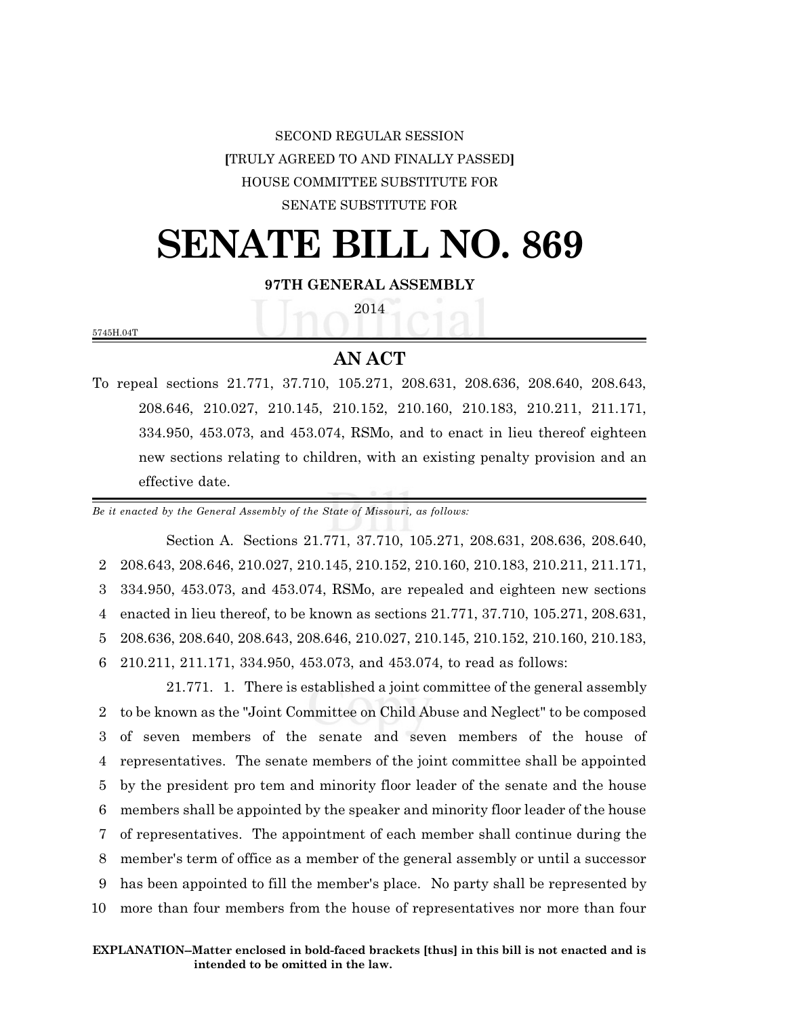## SECOND REGULAR SESSION **[**TRULY AGREED TO AND FINALLY PASSED**]** HOUSE COMMITTEE SUBSTITUTE FOR SENATE SUBSTITUTE FOR

# **SENATE BILL NO. 869**

#### **97TH GENERAL ASSEMBLY**

2014

5745H.04T

### **AN ACT**

To repeal sections 21.771, 37.710, 105.271, 208.631, 208.636, 208.640, 208.643, 208.646, 210.027, 210.145, 210.152, 210.160, 210.183, 210.211, 211.171, 334.950, 453.073, and 453.074, RSMo, and to enact in lieu thereof eighteen new sections relating to children, with an existing penalty provision and an effective date.

*Be it enacted by the General Assembly of the State of Missouri, as follows:*

Section A. Sections 21.771, 37.710, 105.271, 208.631, 208.636, 208.640, 208.643, 208.646, 210.027, 210.145, 210.152, 210.160, 210.183, 210.211, 211.171, 334.950, 453.073, and 453.074, RSMo, are repealed and eighteen new sections enacted in lieu thereof, to be known as sections 21.771, 37.710, 105.271, 208.631, 208.636, 208.640, 208.643, 208.646, 210.027, 210.145, 210.152, 210.160, 210.183, 210.211, 211.171, 334.950, 453.073, and 453.074, to read as follows:

21.771. 1. There is established a joint committee of the general assembly to be known as the "Joint Committee on Child Abuse and Neglect" to be composed of seven members of the senate and seven members of the house of representatives. The senate members of the joint committee shall be appointed by the president pro tem and minority floor leader of the senate and the house members shall be appointed by the speaker and minority floor leader of the house of representatives. The appointment of each member shall continue during the member's term of office as a member of the general assembly or until a successor has been appointed to fill the member's place. No party shall be represented by more than four members from the house of representatives nor more than four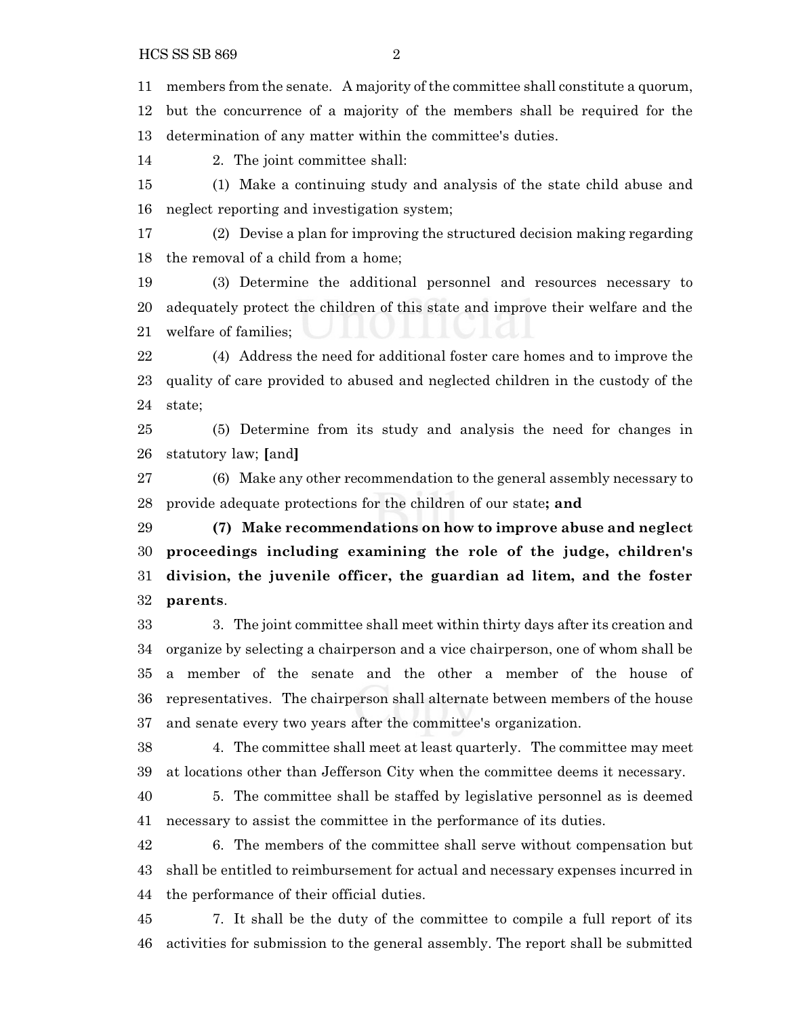HCS SS SB 869 2

members from the senate. A majority of the committee shall constitute a quorum,

 but the concurrence of a majority of the members shall be required for the determination of any matter within the committee's duties.

2. The joint committee shall:

 (1) Make a continuing study and analysis of the state child abuse and neglect reporting and investigation system;

 (2) Devise a plan for improving the structured decision making regarding the removal of a child from a home;

 (3) Determine the additional personnel and resources necessary to adequately protect the children of this state and improve their welfare and the welfare of families;

 (4) Address the need for additional foster care homes and to improve the quality of care provided to abused and neglected children in the custody of the state;

 (5) Determine from its study and analysis the need for changes in statutory law; **[**and**]**

 (6) Make any other recommendation to the general assembly necessary to provide adequate protections for the children of our state**; and**

 **(7) Make recommendations on how to improve abuse and neglect proceedings including examining the role of the judge, children's division, the juvenile officer, the guardian ad litem, and the foster parents**.

 3. The joint committee shall meet within thirty days after its creation and organize by selecting a chairperson and a vice chairperson, one of whom shall be a member of the senate and the other a member of the house of representatives. The chairperson shall alternate between members of the house and senate every two years after the committee's organization.

 4. The committee shall meet at least quarterly. The committee may meet at locations other than Jefferson City when the committee deems it necessary.

 5. The committee shall be staffed by legislative personnel as is deemed necessary to assist the committee in the performance of its duties.

 6. The members of the committee shall serve without compensation but shall be entitled to reimbursement for actual and necessary expenses incurred in the performance of their official duties.

 7. It shall be the duty of the committee to compile a full report of its activities for submission to the general assembly. The report shall be submitted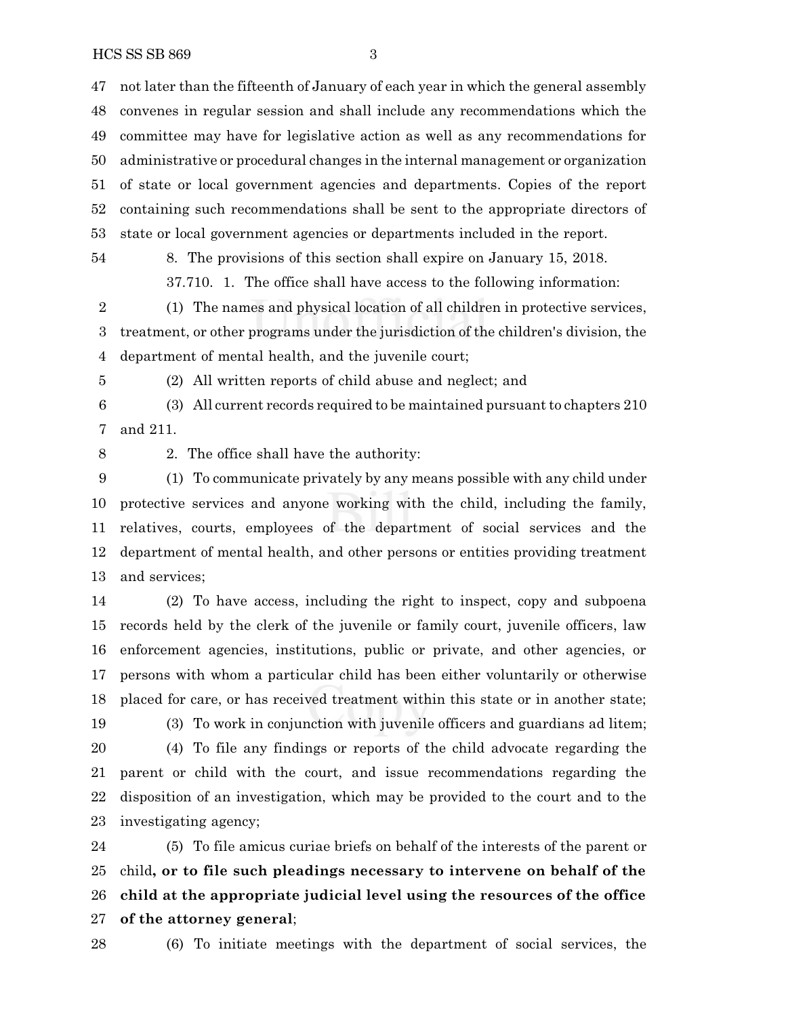HCS SS SB 869 3

 not later than the fifteenth of January of each year in which the general assembly convenes in regular session and shall include any recommendations which the committee may have for legislative action as well as any recommendations for administrative or procedural changes in the internal management or organization of state or local government agencies and departments. Copies of the report containing such recommendations shall be sent to the appropriate directors of state or local government agencies or departments included in the report.

8. The provisions of this section shall expire on January 15, 2018.

37.710. 1. The office shall have access to the following information:

 (1) The names and physical location of all children in protective services, treatment, or other programs under the jurisdiction of the children's division, the department of mental health, and the juvenile court;

(2) All written reports of child abuse and neglect; and

 (3) All current records required to be maintained pursuant to chapters 210 and 211.

2. The office shall have the authority:

 (1) To communicate privately by any means possible with any child under protective services and anyone working with the child, including the family, relatives, courts, employees of the department of social services and the department of mental health, and other persons or entities providing treatment and services;

 (2) To have access, including the right to inspect, copy and subpoena records held by the clerk of the juvenile or family court, juvenile officers, law enforcement agencies, institutions, public or private, and other agencies, or persons with whom a particular child has been either voluntarily or otherwise placed for care, or has received treatment within this state or in another state;

(3) To work in conjunction with juvenile officers and guardians ad litem;

 (4) To file any findings or reports of the child advocate regarding the parent or child with the court, and issue recommendations regarding the disposition of an investigation, which may be provided to the court and to the investigating agency;

 (5) To file amicus curiae briefs on behalf of the interests of the parent or child**, or to file such pleadings necessary to intervene on behalf of the child at the appropriate judicial level using the resources of the office of the attorney general**;

(6) To initiate meetings with the department of social services, the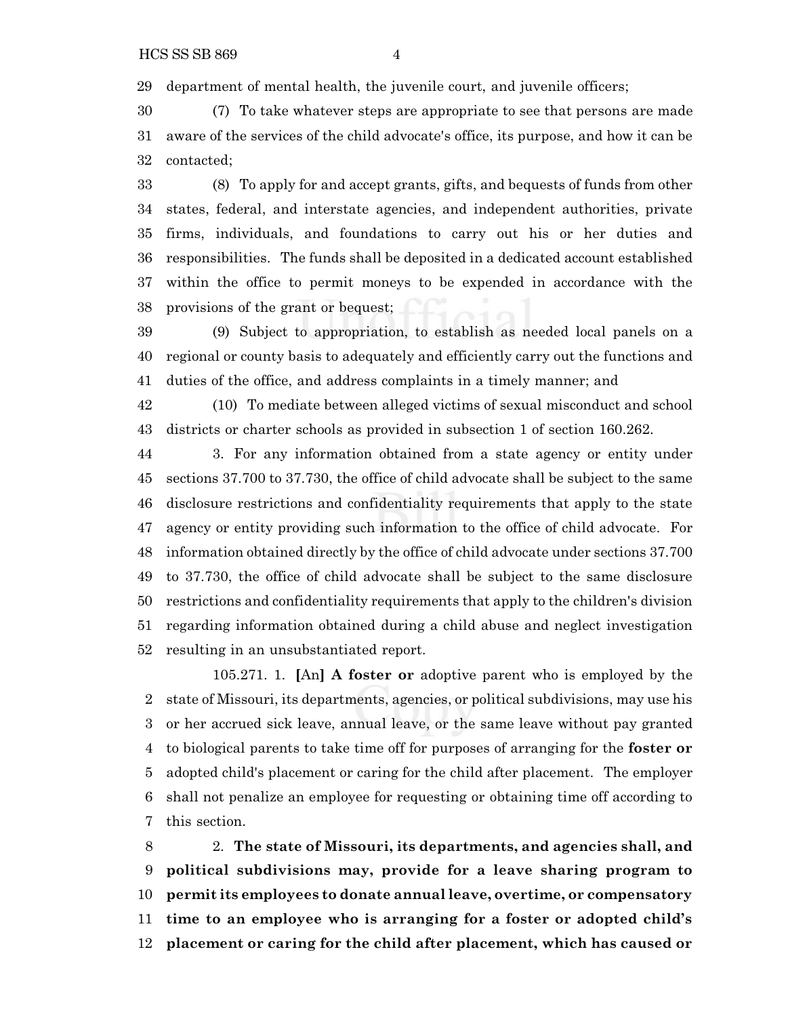department of mental health, the juvenile court, and juvenile officers;

 (7) To take whatever steps are appropriate to see that persons are made aware of the services of the child advocate's office, its purpose, and how it can be contacted;

 (8) To apply for and accept grants, gifts, and bequests of funds from other states, federal, and interstate agencies, and independent authorities, private firms, individuals, and foundations to carry out his or her duties and responsibilities. The funds shall be deposited in a dedicated account established within the office to permit moneys to be expended in accordance with the provisions of the grant or bequest;

 (9) Subject to appropriation, to establish as needed local panels on a regional or county basis to adequately and efficiently carry out the functions and duties of the office, and address complaints in a timely manner; and

 (10) To mediate between alleged victims of sexual misconduct and school districts or charter schools as provided in subsection 1 of section 160.262.

 3. For any information obtained from a state agency or entity under sections 37.700 to 37.730, the office of child advocate shall be subject to the same disclosure restrictions and confidentiality requirements that apply to the state agency or entity providing such information to the office of child advocate. For information obtained directly by the office of child advocate under sections 37.700 to 37.730, the office of child advocate shall be subject to the same disclosure restrictions and confidentiality requirements that apply to the children's division regarding information obtained during a child abuse and neglect investigation resulting in an unsubstantiated report.

105.271. 1. **[**An**] A foster or** adoptive parent who is employed by the state of Missouri, its departments, agencies, or political subdivisions, may use his or her accrued sick leave, annual leave, or the same leave without pay granted to biological parents to take time off for purposes of arranging for the **foster or** adopted child's placement or caring for the child after placement. The employer shall not penalize an employee for requesting or obtaining time off according to this section.

 2. **The state of Missouri, its departments, and agencies shall, and political subdivisions may, provide for a leave sharing program to permit its employees to donate annual leave, overtime, or compensatory time to an employee who is arranging for a foster or adopted child's placement or caring for the child after placement, which has caused or**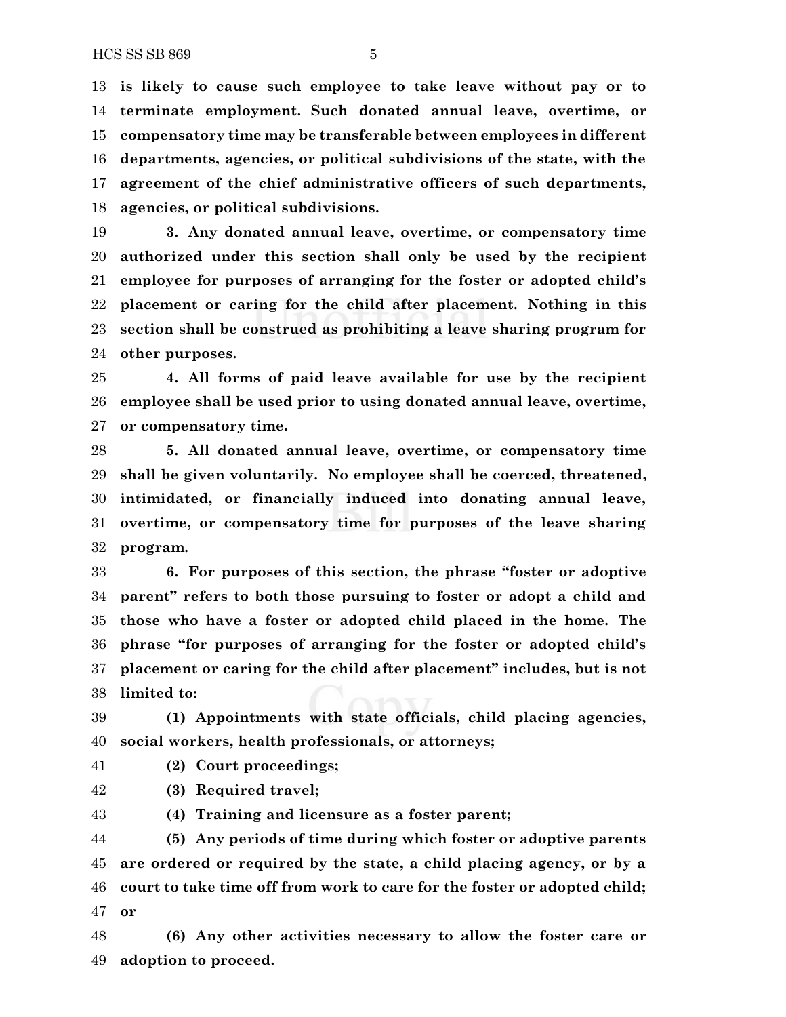**is likely to cause such employee to take leave without pay or to terminate employment. Such donated annual leave, overtime, or compensatory time may be transferable between employees in different departments, agencies, or political subdivisions of the state, with the agreement of the chief administrative officers of such departments, agencies, or political subdivisions.**

 **3. Any donated annual leave, overtime, or compensatory time authorized under this section shall only be used by the recipient employee for purposes of arranging for the foster or adopted child's placement or caring for the child after placement. Nothing in this section shall be construed as prohibiting a leave sharing program for other purposes.**

 **4. All forms of paid leave available for use by the recipient employee shall be used prior to using donated annual leave, overtime, or compensatory time.**

 **5. All donated annual leave, overtime, or compensatory time shall be given voluntarily. No employee shall be coerced, threatened, intimidated, or financially induced into donating annual leave, overtime, or compensatory time for purposes of the leave sharing program.**

 **6. For purposes of this section, the phrase "foster or adoptive parent" refers to both those pursuing to foster or adopt a child and those who have a foster or adopted child placed in the home. The phrase "for purposes of arranging for the foster or adopted child's placement or caring for the child after placement" includes, but is not limited to:**

 **(1) Appointments with state officials, child placing agencies, social workers, health professionals, or attorneys;**

#### **(2) Court proceedings;**

**(3) Required travel;**

**(4) Training and licensure as a foster parent;**

 **(5) Any periods of time during which foster or adoptive parents are ordered or required by the state, a child placing agency, or by a court to take time off from work to care for the foster or adopted child; or**

 **(6) Any other activities necessary to allow the foster care or adoption to proceed.**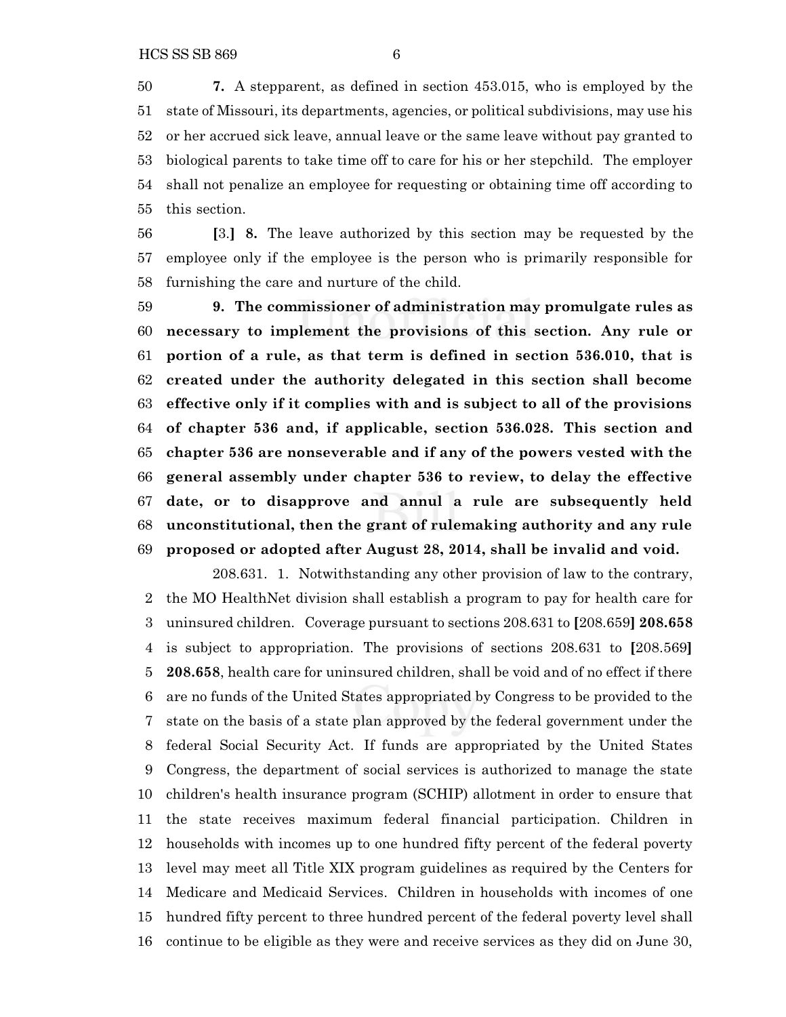**7.** A stepparent, as defined in section 453.015, who is employed by the state of Missouri, its departments, agencies, or political subdivisions, may use his or her accrued sick leave, annual leave or the same leave without pay granted to biological parents to take time off to care for his or her stepchild. The employer shall not penalize an employee for requesting or obtaining time off according to this section.

 **[**3.**] 8.** The leave authorized by this section may be requested by the employee only if the employee is the person who is primarily responsible for furnishing the care and nurture of the child.

 **9. The commissioner of administration may promulgate rules as necessary to implement the provisions of this section. Any rule or portion of a rule, as that term is defined in section 536.010, that is created under the authority delegated in this section shall become effective only if it complies with and is subject to all of the provisions of chapter 536 and, if applicable, section 536.028. This section and chapter 536 are nonseverable and if any of the powers vested with the general assembly under chapter 536 to review, to delay the effective date, or to disapprove and annul a rule are subsequently held unconstitutional, then the grant of rulemaking authority and any rule proposed or adopted after August 28, 2014, shall be invalid and void.**

208.631. 1. Notwithstanding any other provision of law to the contrary, the MO HealthNet division shall establish a program to pay for health care for uninsured children. Coverage pursuant to sections 208.631 to **[**208.659**] 208.658** is subject to appropriation. The provisions of sections 208.631 to **[**208.569**] 208.658**, health care for uninsured children, shall be void and of no effect if there are no funds of the United States appropriated by Congress to be provided to the state on the basis of a state plan approved by the federal government under the federal Social Security Act. If funds are appropriated by the United States Congress, the department of social services is authorized to manage the state children's health insurance program (SCHIP) allotment in order to ensure that the state receives maximum federal financial participation. Children in households with incomes up to one hundred fifty percent of the federal poverty level may meet all Title XIX program guidelines as required by the Centers for Medicare and Medicaid Services. Children in households with incomes of one hundred fifty percent to three hundred percent of the federal poverty level shall continue to be eligible as they were and receive services as they did on June 30,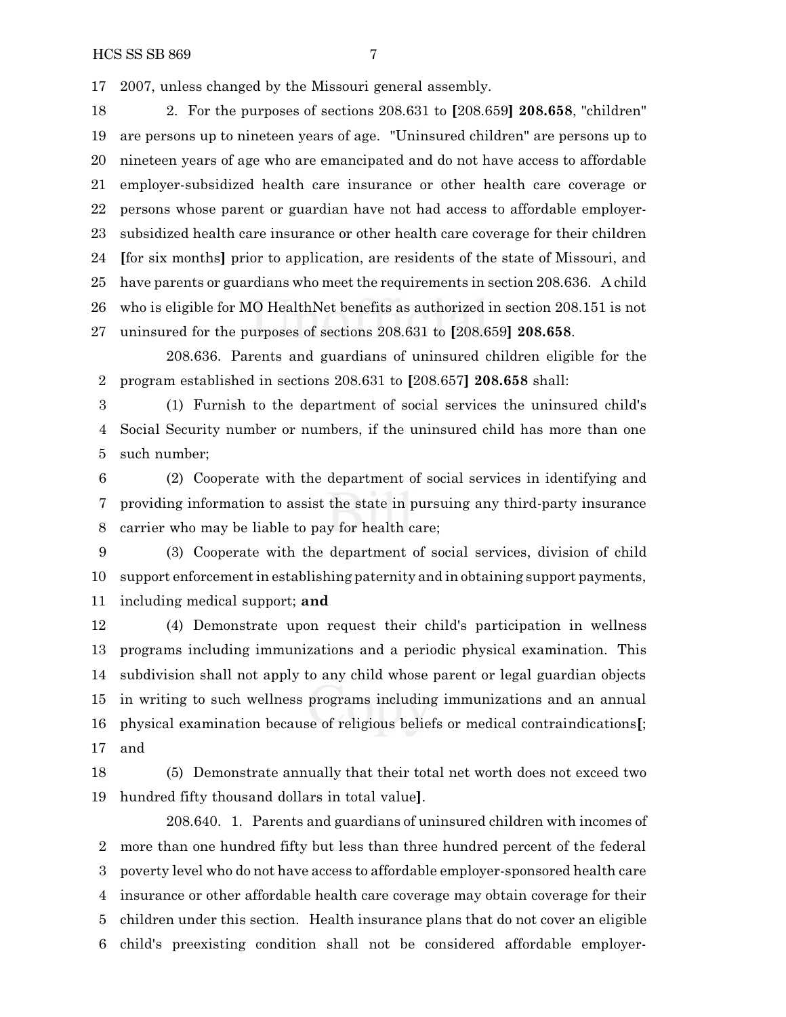2007, unless changed by the Missouri general assembly.

 2. For the purposes of sections 208.631 to **[**208.659**] 208.658**, "children" are persons up to nineteen years of age. "Uninsured children" are persons up to nineteen years of age who are emancipated and do not have access to affordable employer-subsidized health care insurance or other health care coverage or persons whose parent or guardian have not had access to affordable employer- subsidized health care insurance or other health care coverage for their children **[**for six months**]** prior to application, are residents of the state of Missouri, and have parents or guardians who meet the requirements in section 208.636. A child who is eligible for MO HealthNet benefits as authorized in section 208.151 is not uninsured for the purposes of sections 208.631 to **[**208.659**] 208.658**.

208.636. Parents and guardians of uninsured children eligible for the program established in sections 208.631 to **[**208.657**] 208.658** shall:

 (1) Furnish to the department of social services the uninsured child's Social Security number or numbers, if the uninsured child has more than one such number;

 (2) Cooperate with the department of social services in identifying and providing information to assist the state in pursuing any third-party insurance carrier who may be liable to pay for health care;

 (3) Cooperate with the department of social services, division of child support enforcement in establishing paternity and in obtaining support payments, including medical support; **and**

 (4) Demonstrate upon request their child's participation in wellness programs including immunizations and a periodic physical examination. This subdivision shall not apply to any child whose parent or legal guardian objects in writing to such wellness programs including immunizations and an annual physical examination because of religious beliefs or medical contraindications**[**; and

 (5) Demonstrate annually that their total net worth does not exceed two hundred fifty thousand dollars in total value**]**.

208.640. 1. Parents and guardians of uninsured children with incomes of more than one hundred fifty but less than three hundred percent of the federal poverty level who do not have access to affordable employer-sponsored health care insurance or other affordable health care coverage may obtain coverage for their children under this section. Health insurance plans that do not cover an eligible child's preexisting condition shall not be considered affordable employer-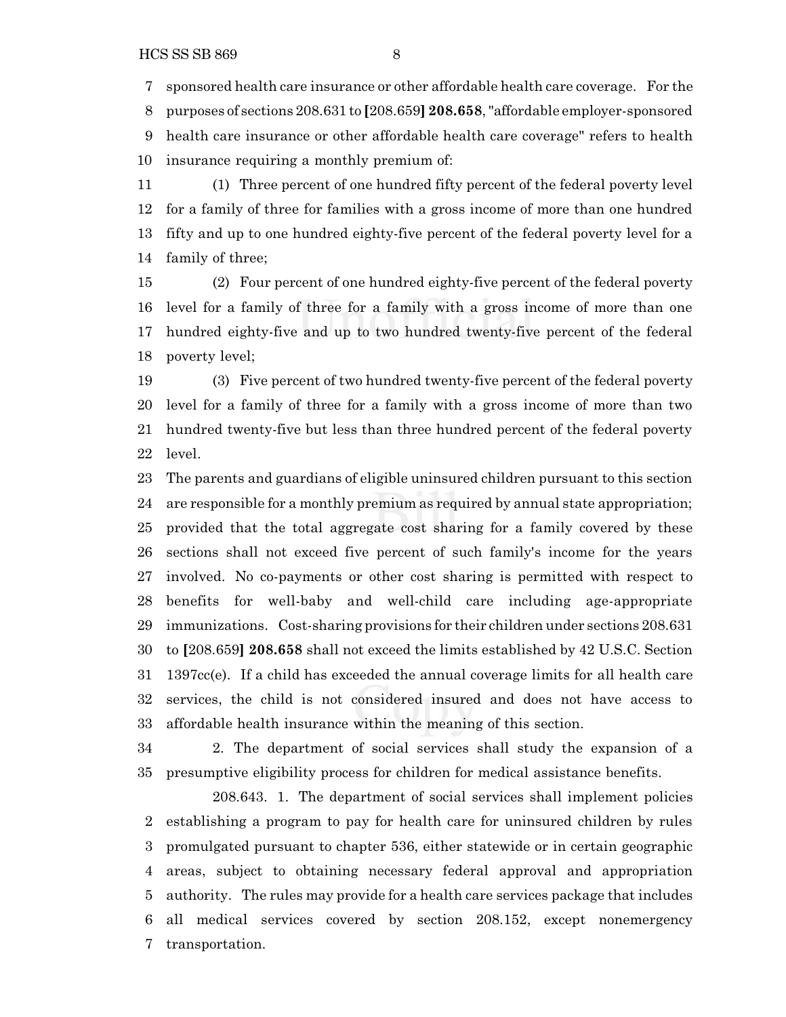sponsored health care insurance or other affordable health care coverage. For the

 purposes of sections 208.631 to **[**208.659**] 208.658**,"affordable employer-sponsored health care insurance or other affordable health care coverage" refers to health insurance requiring a monthly premium of:

 (1) Three percent of one hundred fifty percent of the federal poverty level for a family of three for families with a gross income of more than one hundred fifty and up to one hundred eighty-five percent of the federal poverty level for a family of three;

 (2) Four percent of one hundred eighty-five percent of the federal poverty level for a family of three for a family with a gross income of more than one hundred eighty-five and up to two hundred twenty-five percent of the federal poverty level;

 (3) Five percent of two hundred twenty-five percent of the federal poverty level for a family of three for a family with a gross income of more than two hundred twenty-five but less than three hundred percent of the federal poverty level.

 The parents and guardians of eligible uninsured children pursuant to this section are responsible for a monthly premium as required by annual state appropriation; provided that the total aggregate cost sharing for a family covered by these sections shall not exceed five percent of such family's income for the years involved. No co-payments or other cost sharing is permitted with respect to benefits for well-baby and well-child care including age-appropriate immunizations. Cost-sharing provisions for their children under sections 208.631 to **[**208.659**] 208.658** shall not exceed the limits established by 42 U.S.C. Section 1397cc(e). If a child has exceeded the annual coverage limits for all health care services, the child is not considered insured and does not have access to affordable health insurance within the meaning of this section.

 2. The department of social services shall study the expansion of a presumptive eligibility process for children for medical assistance benefits.

208.643. 1. The department of social services shall implement policies establishing a program to pay for health care for uninsured children by rules promulgated pursuant to chapter 536, either statewide or in certain geographic areas, subject to obtaining necessary federal approval and appropriation authority. The rules may provide for a health care services package that includes all medical services covered by section 208.152, except nonemergency transportation.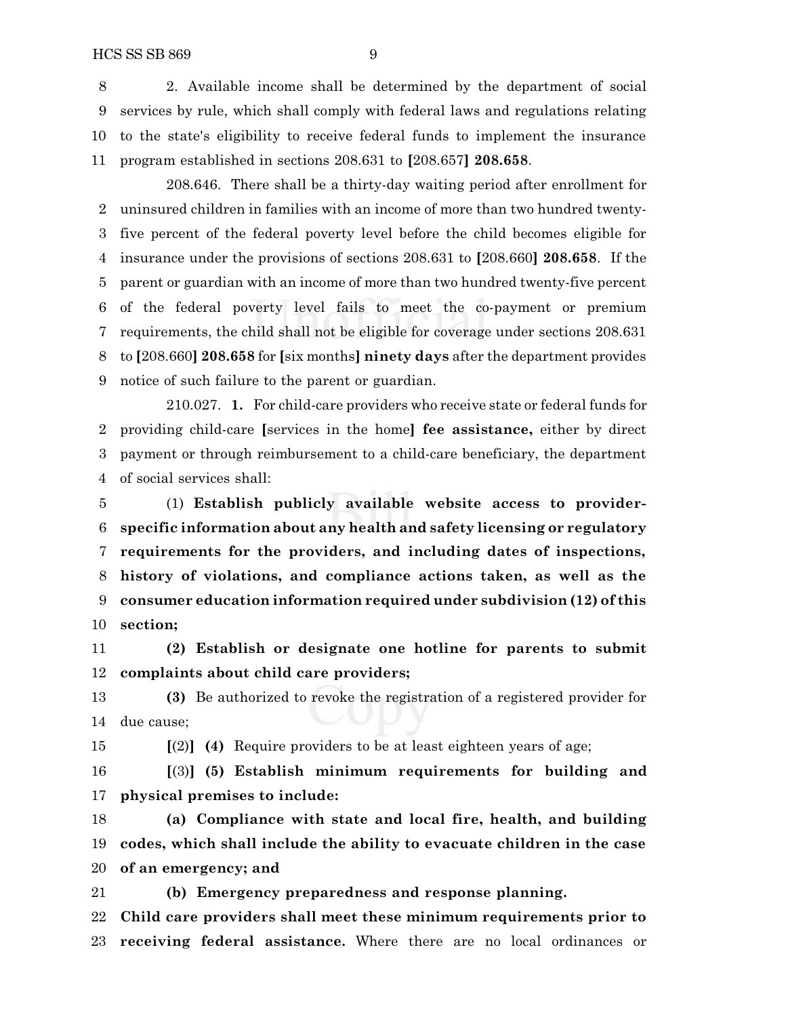2. Available income shall be determined by the department of social services by rule, which shall comply with federal laws and regulations relating to the state's eligibility to receive federal funds to implement the insurance program established in sections 208.631 to **[**208.657**] 208.658**.

208.646. There shall be a thirty-day waiting period after enrollment for uninsured children in families with an income of more than two hundred twenty- five percent of the federal poverty level before the child becomes eligible for insurance under the provisions of sections 208.631 to **[**208.660**] 208.658**. If the parent or guardian with an income of more than two hundred twenty-five percent of the federal poverty level fails to meet the co-payment or premium requirements, the child shall not be eligible for coverage under sections 208.631 to **[**208.660**] 208.658** for **[**six months**] ninety days** after the department provides notice of such failure to the parent or guardian.

210.027. **1.** For child-care providers who receive state or federal funds for providing child-care **[**services in the home**] fee assistance,** either by direct payment or through reimbursement to a child-care beneficiary, the department of social services shall:

 (1) **Establish publicly available website access to provider- specific information about any health and safety licensing or regulatory requirements for the providers, and including dates of inspections, history of violations, and compliance actions taken, as well as the consumer education information required under subdivision (12) of this section;**

 **(2) Establish or designate one hotline for parents to submit complaints about child care providers;**

 **(3)** Be authorized to revoke the registration of a registered provider for due cause;

**[**(2)**] (4)** Require providers to be at least eighteen years of age;

 **[**(3)**] (5) Establish minimum requirements for building and physical premises to include:**

 **(a) Compliance with state and local fire, health, and building codes, which shall include the ability to evacuate children in the case of an emergency; and**

 **(b) Emergency preparedness and response planning. Child care providers shall meet these minimum requirements prior to receiving federal assistance.** Where there are no local ordinances or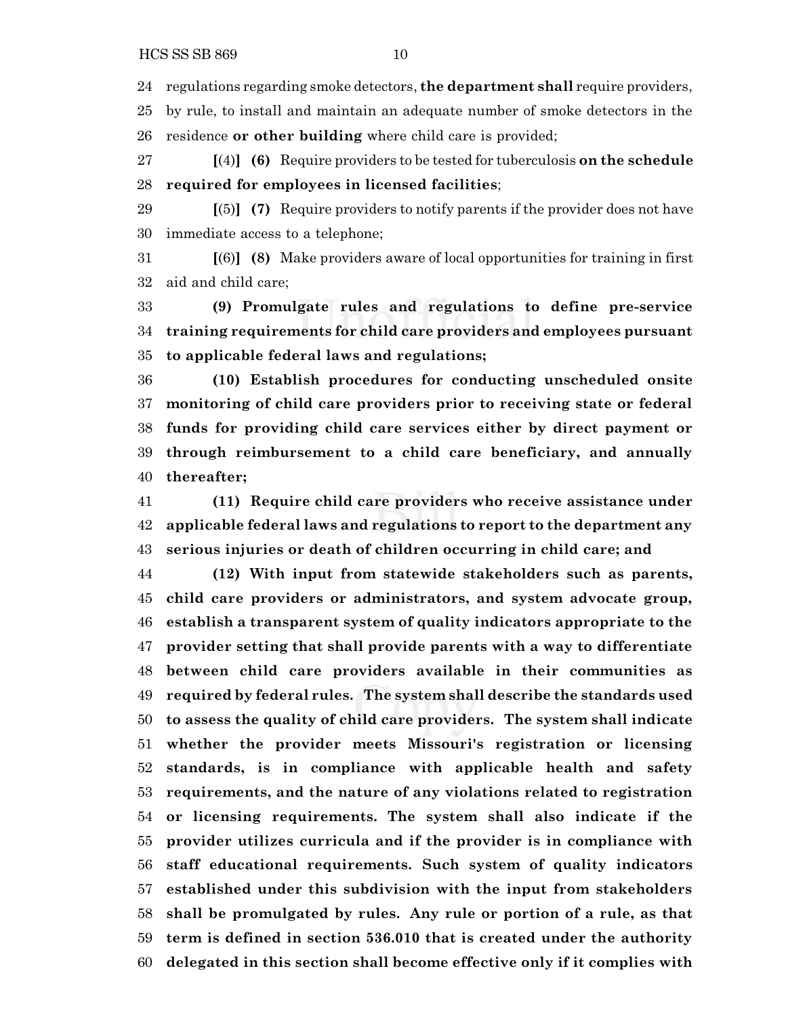regulations regarding smoke detectors, **the department shall** require providers,

by rule, to install and maintain an adequate number of smoke detectors in the

residence **or other building** where child care is provided;

 **[**(4)**] (6)** Require providers to be tested for tuberculosis **on the schedule required for employees in licensed facilities**;

 **[**(5)**] (7)** Require providers to notify parents if the provider does not have immediate access to a telephone;

 **[**(6)**] (8)** Make providers aware of local opportunities for training in first aid and child care;

 **(9) Promulgate rules and regulations to define pre-service training requirements for child care providers and employees pursuant to applicable federal laws and regulations;**

 **(10) Establish procedures for conducting unscheduled onsite monitoring of child care providers prior to receiving state or federal funds for providing child care services either by direct payment or through reimbursement to a child care beneficiary, and annually thereafter;**

 **(11) Require child care providers who receive assistance under applicable federal laws and regulations to report to the department any serious injuries or death of children occurring in child care; and**

 **(12) With input from statewide stakeholders such as parents, child care providers or administrators, and system advocate group, establish a transparent system of quality indicators appropriate to the provider setting that shall provide parents with a way to differentiate between child care providers available in their communities as required by federal rules. The system shall describe the standards used to assess the quality of child care providers. The system shall indicate whether the provider meets Missouri's registration or licensing standards, is in compliance with applicable health and safety requirements, and the nature of any violations related to registration or licensing requirements. The system shall also indicate if the provider utilizes curricula and if the provider is in compliance with staff educational requirements. Such system of quality indicators established under this subdivision with the input from stakeholders shall be promulgated by rules. Any rule or portion of a rule, as that term is defined in section 536.010 that is created under the authority delegated in this section shall become effective only if it complies with**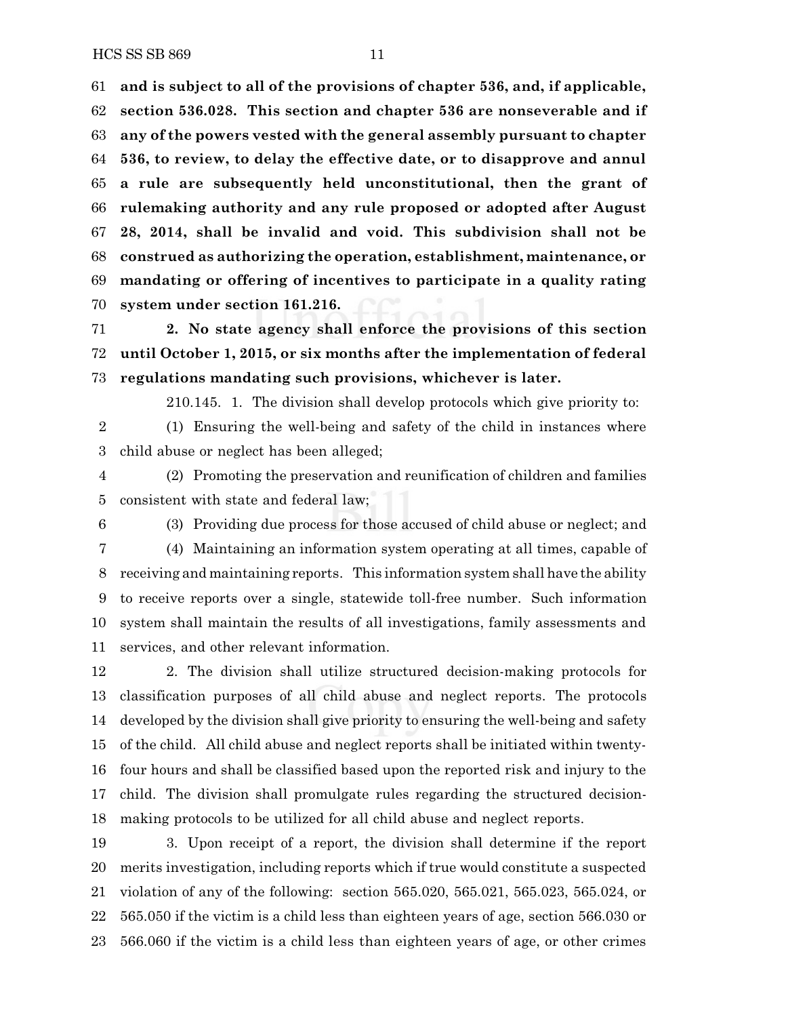**and is subject to all of the provisions of chapter 536, and, if applicable, section 536.028. This section and chapter 536 are nonseverable and if any of the powers vested with the general assembly pursuant to chapter 536, to review, to delay the effective date, or to disapprove and annul a rule are subsequently held unconstitutional, then the grant of rulemaking authority and any rule proposed or adopted after August 28, 2014, shall be invalid and void. This subdivision shall not be construed as authorizing the operation, establishment, maintenance, or mandating or offering of incentives to participate in a quality rating system under section 161.216.**

 **2. No state agency shall enforce the provisions of this section until October 1, 2015, or six months after the implementation of federal regulations mandating such provisions, whichever is later.**

210.145. 1. The division shall develop protocols which give priority to:

 (1) Ensuring the well-being and safety of the child in instances where child abuse or neglect has been alleged;

 (2) Promoting the preservation and reunification of children and families consistent with state and federal law;

(3) Providing due process for those accused of child abuse or neglect; and

 (4) Maintaining an information system operating at all times, capable of receiving and maintaining reports. This information system shall have the ability to receive reports over a single, statewide toll-free number. Such information system shall maintain the results of all investigations, family assessments and services, and other relevant information.

 2. The division shall utilize structured decision-making protocols for classification purposes of all child abuse and neglect reports. The protocols developed by the division shall give priority to ensuring the well-being and safety of the child. All child abuse and neglect reports shall be initiated within twenty- four hours and shall be classified based upon the reported risk and injury to the child. The division shall promulgate rules regarding the structured decision-making protocols to be utilized for all child abuse and neglect reports.

 3. Upon receipt of a report, the division shall determine if the report merits investigation, including reports which if true would constitute a suspected violation of any of the following: section 565.020, 565.021, 565.023, 565.024, or 565.050 if the victim is a child less than eighteen years of age, section 566.030 or 566.060 if the victim is a child less than eighteen years of age, or other crimes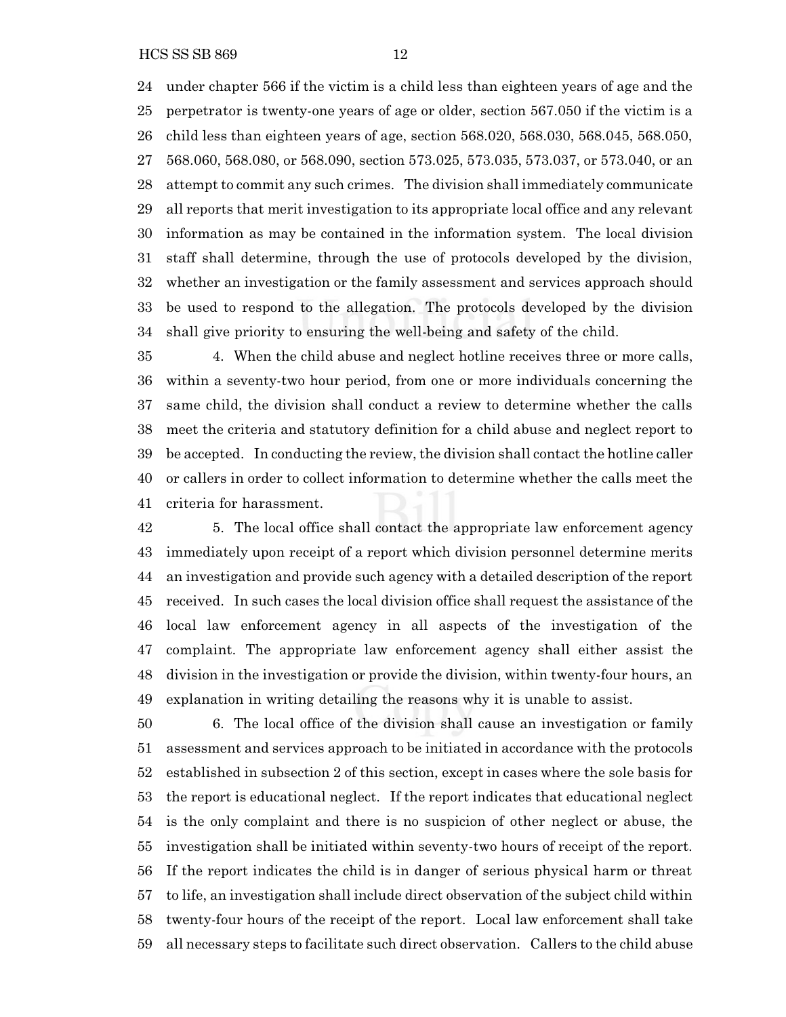HCS SS SB 869 12

 under chapter 566 if the victim is a child less than eighteen years of age and the perpetrator is twenty-one years of age or older, section 567.050 if the victim is a child less than eighteen years of age, section 568.020, 568.030, 568.045, 568.050, 568.060, 568.080, or 568.090, section 573.025, 573.035, 573.037, or 573.040, or an attempt to commit any such crimes. The division shall immediately communicate all reports that merit investigation to its appropriate local office and any relevant information as may be contained in the information system. The local division staff shall determine, through the use of protocols developed by the division, whether an investigation or the family assessment and services approach should be used to respond to the allegation. The protocols developed by the division shall give priority to ensuring the well-being and safety of the child.

 4. When the child abuse and neglect hotline receives three or more calls, within a seventy-two hour period, from one or more individuals concerning the same child, the division shall conduct a review to determine whether the calls meet the criteria and statutory definition for a child abuse and neglect report to be accepted. In conducting the review, the division shall contact the hotline caller or callers in order to collect information to determine whether the calls meet the criteria for harassment.

 5. The local office shall contact the appropriate law enforcement agency immediately upon receipt of a report which division personnel determine merits an investigation and provide such agency with a detailed description of the report received. In such cases the local division office shall request the assistance of the local law enforcement agency in all aspects of the investigation of the complaint. The appropriate law enforcement agency shall either assist the division in the investigation or provide the division, within twenty-four hours, an explanation in writing detailing the reasons why it is unable to assist.

 6. The local office of the division shall cause an investigation or family assessment and services approach to be initiated in accordance with the protocols established in subsection 2 of this section, except in cases where the sole basis for the report is educational neglect. If the report indicates that educational neglect is the only complaint and there is no suspicion of other neglect or abuse, the investigation shall be initiated within seventy-two hours of receipt of the report. If the report indicates the child is in danger of serious physical harm or threat to life, an investigation shall include direct observation of the subject child within twenty-four hours of the receipt of the report. Local law enforcement shall take all necessary steps to facilitate such direct observation. Callers to the child abuse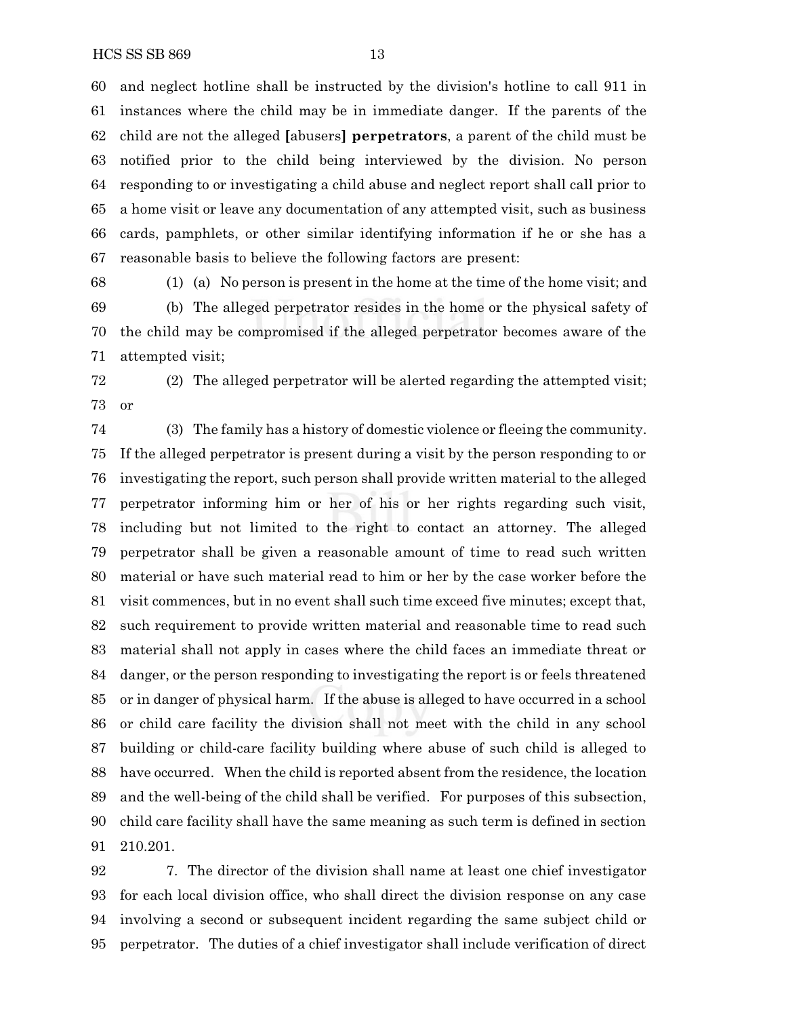and neglect hotline shall be instructed by the division's hotline to call 911 in instances where the child may be in immediate danger. If the parents of the child are not the alleged **[**abusers**] perpetrators**, a parent of the child must be notified prior to the child being interviewed by the division. No person responding to or investigating a child abuse and neglect report shall call prior to a home visit or leave any documentation of any attempted visit, such as business cards, pamphlets, or other similar identifying information if he or she has a reasonable basis to believe the following factors are present:

 (1) (a) No person is present in the home at the time of the home visit; and (b) The alleged perpetrator resides in the home or the physical safety of the child may be compromised if the alleged perpetrator becomes aware of the attempted visit;

 (2) The alleged perpetrator will be alerted regarding the attempted visit; or

 (3) The family has a history of domestic violence or fleeing the community. If the alleged perpetrator is present during a visit by the person responding to or investigating the report, such person shall provide written material to the alleged perpetrator informing him or her of his or her rights regarding such visit, including but not limited to the right to contact an attorney. The alleged perpetrator shall be given a reasonable amount of time to read such written material or have such material read to him or her by the case worker before the visit commences, but in no event shall such time exceed five minutes; except that, such requirement to provide written material and reasonable time to read such material shall not apply in cases where the child faces an immediate threat or danger, or the person responding to investigating the report is or feels threatened or in danger of physical harm. If the abuse is alleged to have occurred in a school or child care facility the division shall not meet with the child in any school building or child-care facility building where abuse of such child is alleged to have occurred. When the child is reported absent from the residence, the location and the well-being of the child shall be verified. For purposes of this subsection, child care facility shall have the same meaning as such term is defined in section 210.201.

 7. The director of the division shall name at least one chief investigator for each local division office, who shall direct the division response on any case involving a second or subsequent incident regarding the same subject child or perpetrator. The duties of a chief investigator shall include verification of direct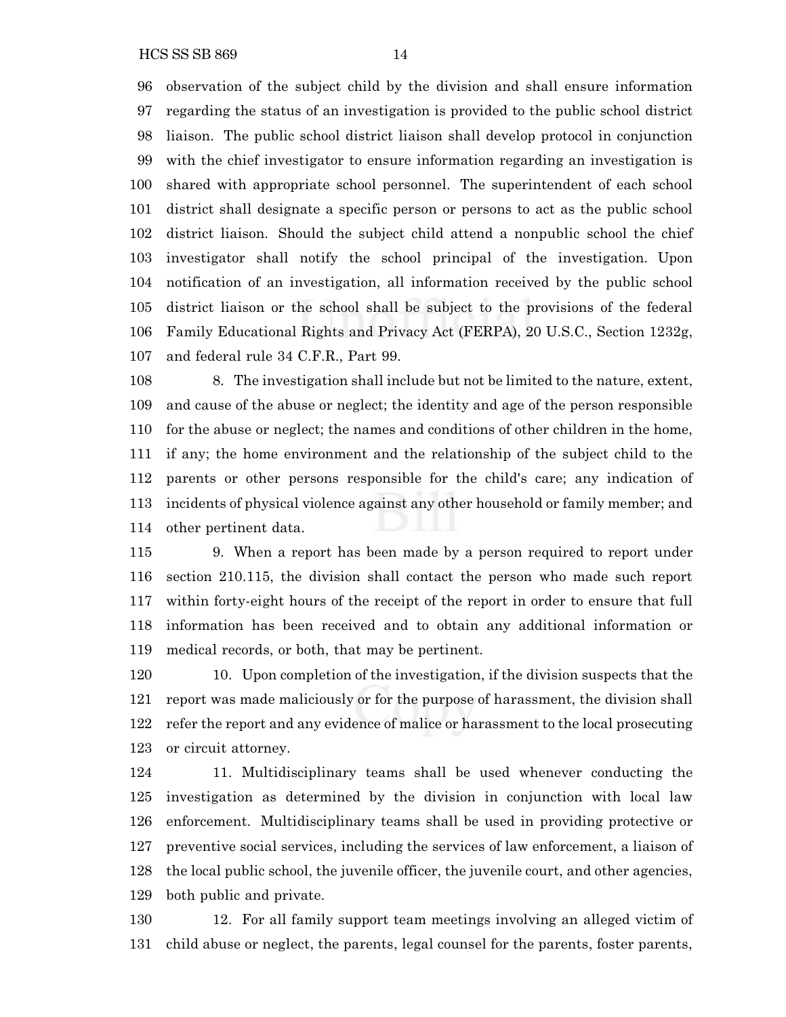observation of the subject child by the division and shall ensure information regarding the status of an investigation is provided to the public school district liaison. The public school district liaison shall develop protocol in conjunction with the chief investigator to ensure information regarding an investigation is shared with appropriate school personnel. The superintendent of each school district shall designate a specific person or persons to act as the public school district liaison. Should the subject child attend a nonpublic school the chief investigator shall notify the school principal of the investigation. Upon notification of an investigation, all information received by the public school district liaison or the school shall be subject to the provisions of the federal Family Educational Rights and Privacy Act (FERPA), 20 U.S.C., Section 1232g, and federal rule 34 C.F.R., Part 99.

 8. The investigation shall include but not be limited to the nature, extent, and cause of the abuse or neglect; the identity and age of the person responsible for the abuse or neglect; the names and conditions of other children in the home, if any; the home environment and the relationship of the subject child to the parents or other persons responsible for the child's care; any indication of incidents of physical violence against any other household or family member; and other pertinent data.

 9. When a report has been made by a person required to report under section 210.115, the division shall contact the person who made such report within forty-eight hours of the receipt of the report in order to ensure that full information has been received and to obtain any additional information or medical records, or both, that may be pertinent.

 10. Upon completion of the investigation, if the division suspects that the report was made maliciously or for the purpose of harassment, the division shall refer the report and any evidence of malice or harassment to the local prosecuting or circuit attorney.

 11. Multidisciplinary teams shall be used whenever conducting the investigation as determined by the division in conjunction with local law enforcement. Multidisciplinary teams shall be used in providing protective or preventive social services, including the services of law enforcement, a liaison of the local public school, the juvenile officer, the juvenile court, and other agencies, both public and private.

 12. For all family support team meetings involving an alleged victim of child abuse or neglect, the parents, legal counsel for the parents, foster parents,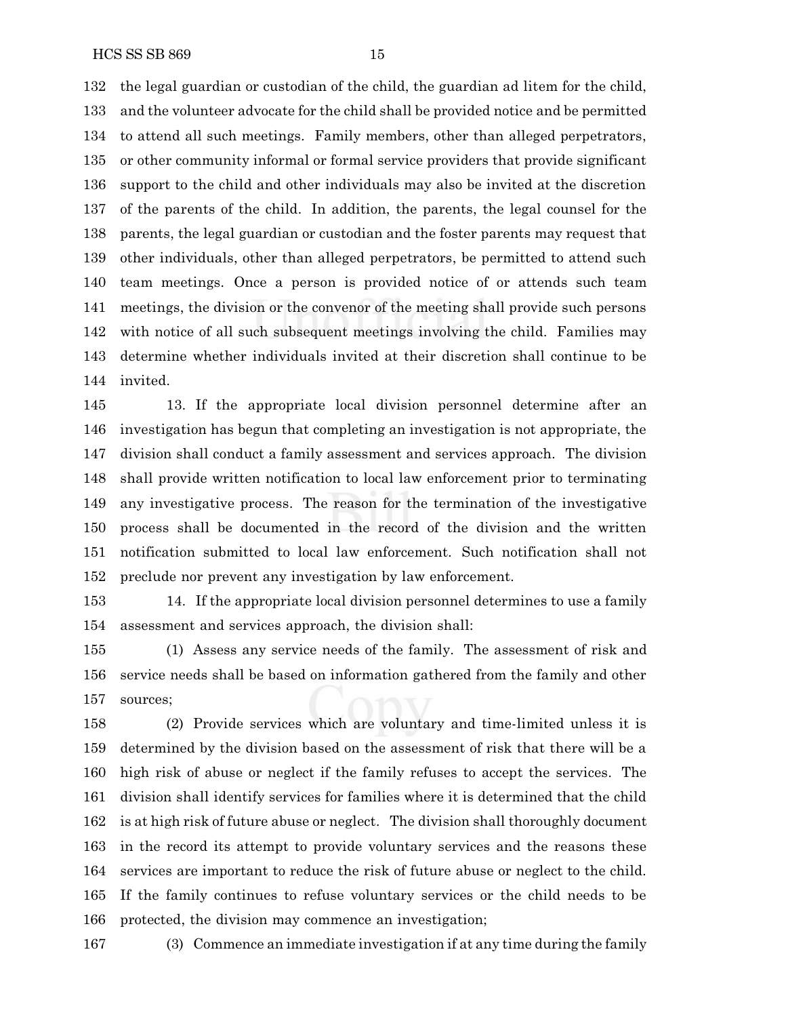the legal guardian or custodian of the child, the guardian ad litem for the child, and the volunteer advocate for the child shall be provided notice and be permitted to attend all such meetings. Family members, other than alleged perpetrators, or other community informal or formal service providers that provide significant support to the child and other individuals may also be invited at the discretion of the parents of the child. In addition, the parents, the legal counsel for the parents, the legal guardian or custodian and the foster parents may request that other individuals, other than alleged perpetrators, be permitted to attend such team meetings. Once a person is provided notice of or attends such team meetings, the division or the convenor of the meeting shall provide such persons with notice of all such subsequent meetings involving the child. Families may determine whether individuals invited at their discretion shall continue to be invited.

 13. If the appropriate local division personnel determine after an investigation has begun that completing an investigation is not appropriate, the division shall conduct a family assessment and services approach. The division shall provide written notification to local law enforcement prior to terminating any investigative process. The reason for the termination of the investigative process shall be documented in the record of the division and the written notification submitted to local law enforcement. Such notification shall not preclude nor prevent any investigation by law enforcement.

 14. If the appropriate local division personnel determines to use a family assessment and services approach, the division shall:

 (1) Assess any service needs of the family. The assessment of risk and service needs shall be based on information gathered from the family and other sources;

 (2) Provide services which are voluntary and time-limited unless it is determined by the division based on the assessment of risk that there will be a high risk of abuse or neglect if the family refuses to accept the services. The division shall identify services for families where it is determined that the child is at high risk of future abuse or neglect. The division shall thoroughly document in the record its attempt to provide voluntary services and the reasons these services are important to reduce the risk of future abuse or neglect to the child. If the family continues to refuse voluntary services or the child needs to be protected, the division may commence an investigation;

(3) Commence an immediate investigation if at any time during the family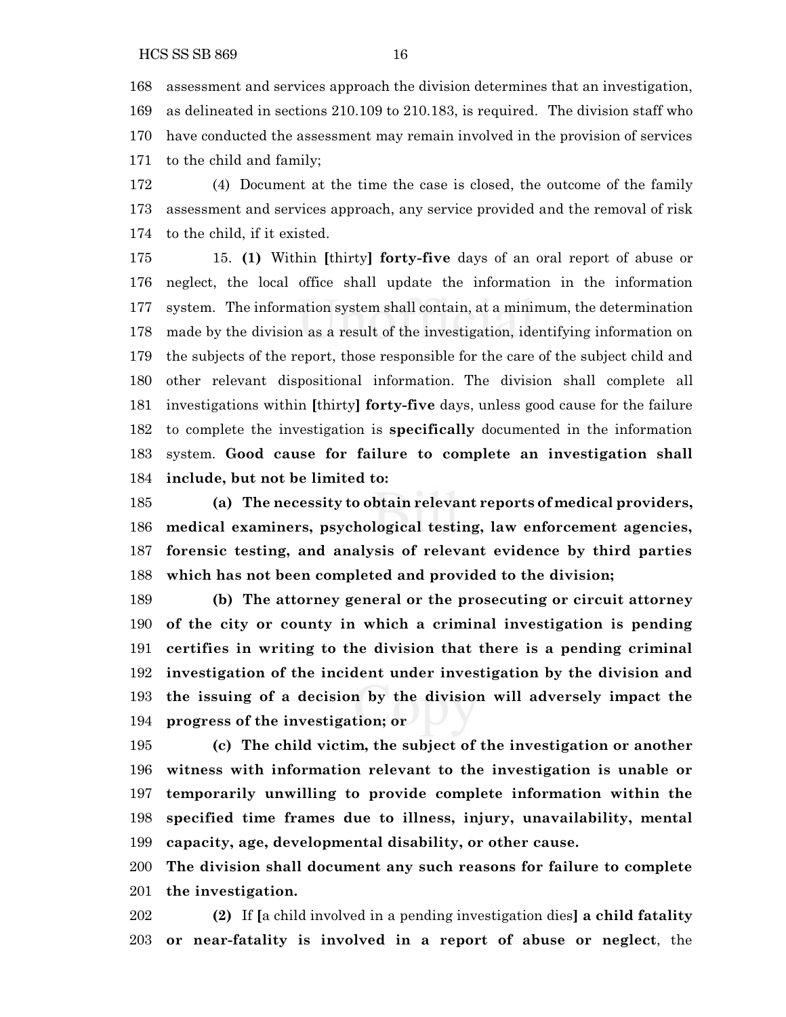assessment and services approach the division determines that an investigation, as delineated in sections 210.109 to 210.183, is required. The division staff who have conducted the assessment may remain involved in the provision of services to the child and family;

 (4) Document at the time the case is closed, the outcome of the family assessment and services approach, any service provided and the removal of risk to the child, if it existed.

 15. **(1)** Within **[**thirty**] forty-five** days of an oral report of abuse or neglect, the local office shall update the information in the information system. The information system shall contain, at a minimum, the determination made by the division as a result of the investigation, identifying information on the subjects of the report, those responsible for the care of the subject child and other relevant dispositional information. The division shall complete all investigations within **[**thirty**] forty-five** days, unless good cause for the failure to complete the investigation is **specifically** documented in the information system. **Good cause for failure to complete an investigation shall include, but not be limited to:**

 **(a) The necessity to obtain relevant reports of medical providers, medical examiners, psychological testing, law enforcement agencies, forensic testing, and analysis of relevant evidence by third parties which has not been completed and provided to the division;**

 **(b) The attorney general or the prosecuting or circuit attorney of the city or county in which a criminal investigation is pending certifies in writing to the division that there is a pending criminal investigation of the incident under investigation by the division and the issuing of a decision by the division will adversely impact the progress of the investigation; or**

 **(c) The child victim, the subject of the investigation or another witness with information relevant to the investigation is unable or temporarily unwilling to provide complete information within the specified time frames due to illness, injury, unavailability, mental capacity, age, developmental disability, or other cause.**

 **The division shall document any such reasons for failure to complete the investigation.**

 **(2)** If **[**a child involved in a pending investigation dies**] a child fatality or near-fatality is involved in a report of abuse or neglect**, the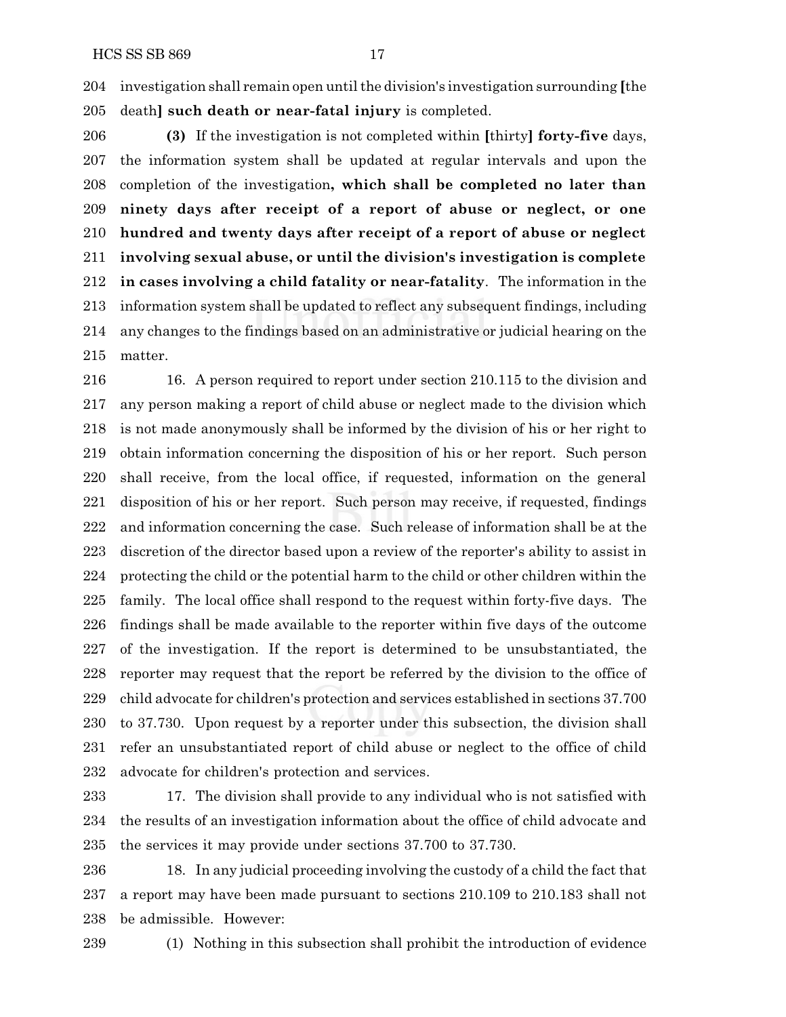investigation shall remain open untilthe division's investigation surrounding **[**the death**] such death or near-fatal injury** is completed.

 **(3)** If the investigation is not completed within **[**thirty**] forty-five** days, the information system shall be updated at regular intervals and upon the completion of the investigation**, which shall be completed no later than ninety days after receipt of a report of abuse or neglect, or one hundred and twenty days after receipt of a report of abuse or neglect involving sexual abuse, or until the division's investigation is complete in cases involving a child fatality or near-fatality**. The information in the information system shall be updated to reflect any subsequent findings, including any changes to the findings based on an administrative or judicial hearing on the matter.

 16. A person required to report under section 210.115 to the division and any person making a report of child abuse or neglect made to the division which is not made anonymously shall be informed by the division of his or her right to obtain information concerning the disposition of his or her report. Such person shall receive, from the local office, if requested, information on the general disposition of his or her report. Such person may receive, if requested, findings and information concerning the case. Such release of information shall be at the discretion of the director based upon a review of the reporter's ability to assist in protecting the child or the potential harm to the child or other children within the family. The local office shall respond to the request within forty-five days. The findings shall be made available to the reporter within five days of the outcome of the investigation. If the report is determined to be unsubstantiated, the reporter may request that the report be referred by the division to the office of child advocate for children's protection and services established in sections 37.700 to 37.730. Upon request by a reporter under this subsection, the division shall refer an unsubstantiated report of child abuse or neglect to the office of child advocate for children's protection and services.

 17. The division shall provide to any individual who is not satisfied with the results of an investigation information about the office of child advocate and the services it may provide under sections 37.700 to 37.730.

 18. In any judicial proceeding involving the custody of a child the fact that a report may have been made pursuant to sections 210.109 to 210.183 shall not be admissible. However:

(1) Nothing in this subsection shall prohibit the introduction of evidence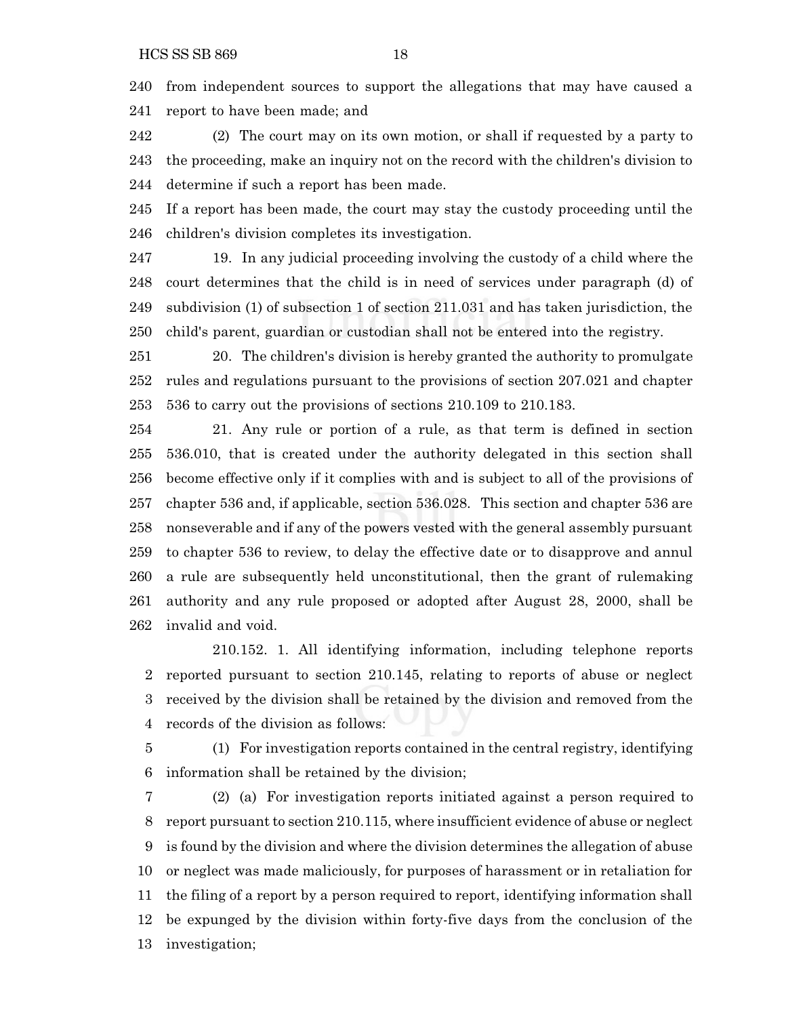from independent sources to support the allegations that may have caused a report to have been made; and

 (2) The court may on its own motion, or shall if requested by a party to the proceeding, make an inquiry not on the record with the children's division to determine if such a report has been made.

 If a report has been made, the court may stay the custody proceeding until the children's division completes its investigation.

 19. In any judicial proceeding involving the custody of a child where the court determines that the child is in need of services under paragraph (d) of subdivision (1) of subsection 1 of section 211.031 and has taken jurisdiction, the child's parent, guardian or custodian shall not be entered into the registry.

 20. The children's division is hereby granted the authority to promulgate rules and regulations pursuant to the provisions of section 207.021 and chapter 536 to carry out the provisions of sections 210.109 to 210.183.

 21. Any rule or portion of a rule, as that term is defined in section 536.010, that is created under the authority delegated in this section shall become effective only if it complies with and is subject to all of the provisions of chapter 536 and, if applicable, section 536.028. This section and chapter 536 are nonseverable and if any of the powers vested with the general assembly pursuant to chapter 536 to review, to delay the effective date or to disapprove and annul a rule are subsequently held unconstitutional, then the grant of rulemaking authority and any rule proposed or adopted after August 28, 2000, shall be invalid and void.

210.152. 1. All identifying information, including telephone reports reported pursuant to section 210.145, relating to reports of abuse or neglect received by the division shall be retained by the division and removed from the records of the division as follows:

 (1) For investigation reports contained in the central registry, identifying information shall be retained by the division;

 (2) (a) For investigation reports initiated against a person required to report pursuant to section 210.115, where insufficient evidence of abuse or neglect is found by the division and where the division determines the allegation of abuse or neglect was made maliciously, for purposes of harassment or in retaliation for the filing of a report by a person required to report, identifying information shall be expunged by the division within forty-five days from the conclusion of the investigation;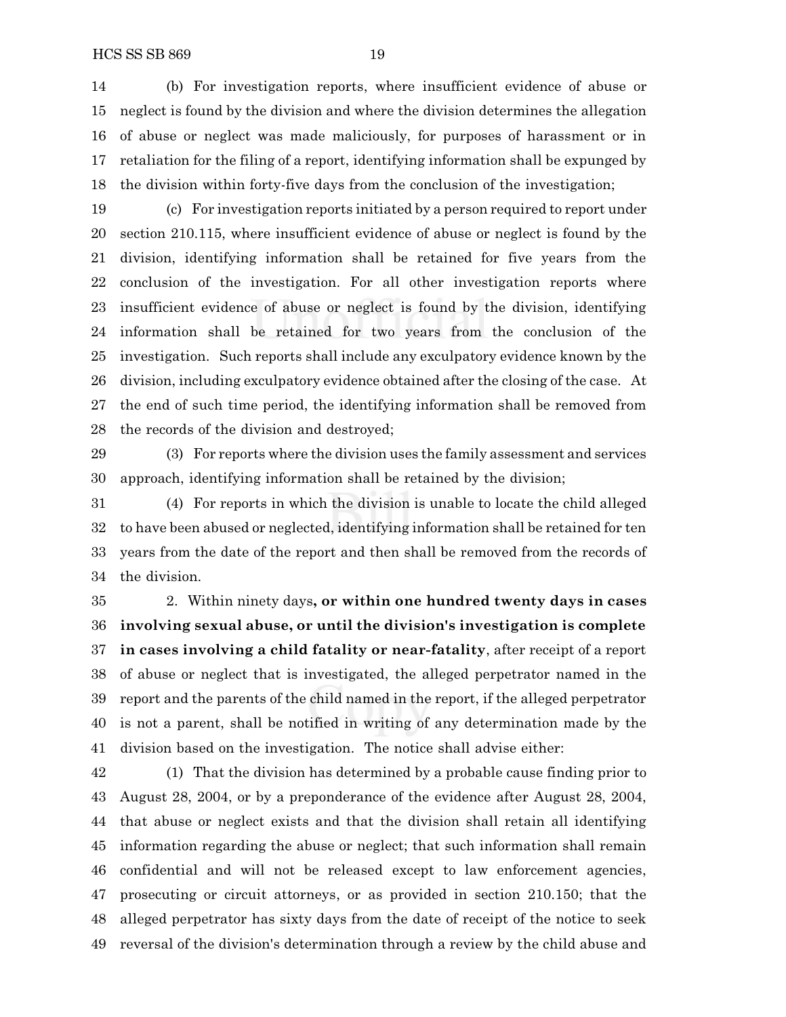(b) For investigation reports, where insufficient evidence of abuse or neglect is found by the division and where the division determines the allegation of abuse or neglect was made maliciously, for purposes of harassment or in retaliation for the filing of a report, identifying information shall be expunged by the division within forty-five days from the conclusion of the investigation;

 (c) For investigation reports initiated by a person required to report under section 210.115, where insufficient evidence of abuse or neglect is found by the division, identifying information shall be retained for five years from the conclusion of the investigation. For all other investigation reports where insufficient evidence of abuse or neglect is found by the division, identifying information shall be retained for two years from the conclusion of the investigation. Such reports shall include any exculpatory evidence known by the division, including exculpatory evidence obtained after the closing of the case. At the end of such time period, the identifying information shall be removed from the records of the division and destroyed;

 (3) For reports where the division uses the family assessment and services approach, identifying information shall be retained by the division;

 (4) For reports in which the division is unable to locate the child alleged to have been abused or neglected, identifying information shall be retained for ten years from the date of the report and then shall be removed from the records of the division.

 2. Within ninety days**, or within one hundred twenty days in cases involving sexual abuse, or until the division's investigation is complete in cases involving a child fatality or near-fatality**, after receipt of a report of abuse or neglect that is investigated, the alleged perpetrator named in the report and the parents of the child named in the report, if the alleged perpetrator is not a parent, shall be notified in writing of any determination made by the division based on the investigation. The notice shall advise either:

 (1) That the division has determined by a probable cause finding prior to August 28, 2004, or by a preponderance of the evidence after August 28, 2004, that abuse or neglect exists and that the division shall retain all identifying information regarding the abuse or neglect; that such information shall remain confidential and will not be released except to law enforcement agencies, prosecuting or circuit attorneys, or as provided in section 210.150; that the alleged perpetrator has sixty days from the date of receipt of the notice to seek reversal of the division's determination through a review by the child abuse and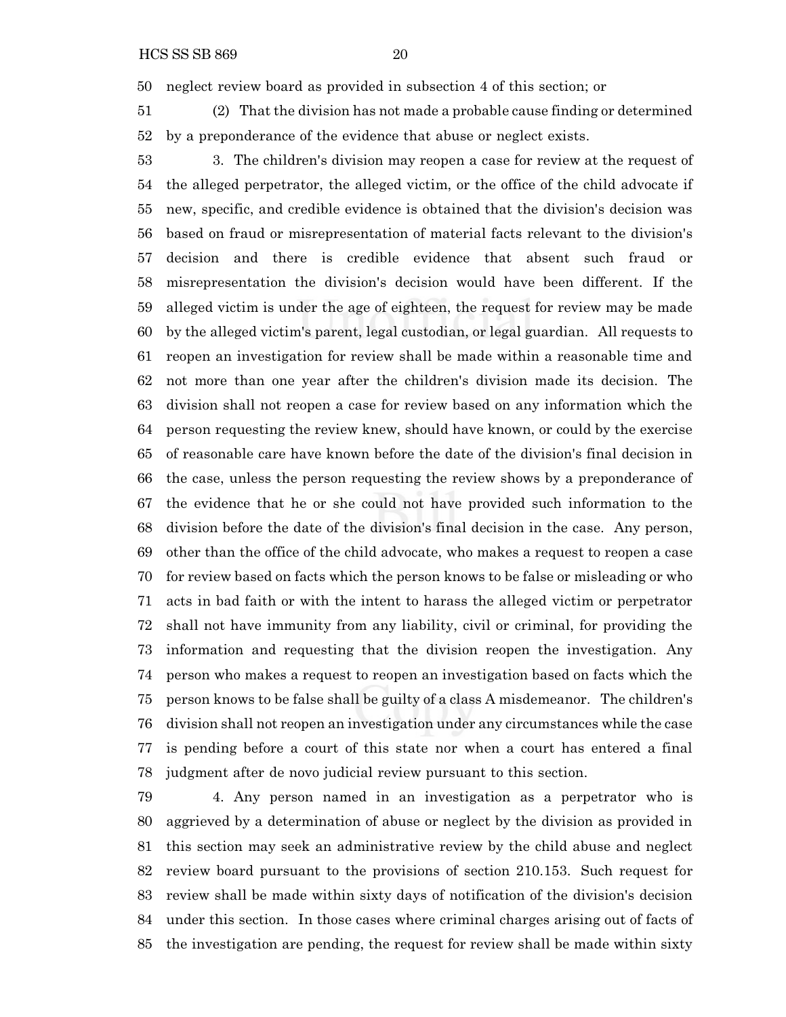neglect review board as provided in subsection 4 of this section; or

 (2) That the division has not made a probable cause finding or determined by a preponderance of the evidence that abuse or neglect exists.

 3. The children's division may reopen a case for review at the request of the alleged perpetrator, the alleged victim, or the office of the child advocate if new, specific, and credible evidence is obtained that the division's decision was based on fraud or misrepresentation of material facts relevant to the division's decision and there is credible evidence that absent such fraud or misrepresentation the division's decision would have been different. If the alleged victim is under the age of eighteen, the request for review may be made by the alleged victim's parent, legal custodian, or legal guardian. All requests to reopen an investigation for review shall be made within a reasonable time and not more than one year after the children's division made its decision. The division shall not reopen a case for review based on any information which the person requesting the review knew, should have known, or could by the exercise of reasonable care have known before the date of the division's final decision in the case, unless the person requesting the review shows by a preponderance of the evidence that he or she could not have provided such information to the division before the date of the division's final decision in the case. Any person, other than the office of the child advocate, who makes a request to reopen a case for review based on facts which the person knows to be false or misleading or who acts in bad faith or with the intent to harass the alleged victim or perpetrator shall not have immunity from any liability, civil or criminal, for providing the information and requesting that the division reopen the investigation. Any person who makes a request to reopen an investigation based on facts which the person knows to be false shall be guilty of a class A misdemeanor. The children's division shall not reopen an investigation under any circumstances while the case is pending before a court of this state nor when a court has entered a final judgment after de novo judicial review pursuant to this section.

 4. Any person named in an investigation as a perpetrator who is aggrieved by a determination of abuse or neglect by the division as provided in this section may seek an administrative review by the child abuse and neglect review board pursuant to the provisions of section 210.153. Such request for review shall be made within sixty days of notification of the division's decision under this section. In those cases where criminal charges arising out of facts of the investigation are pending, the request for review shall be made within sixty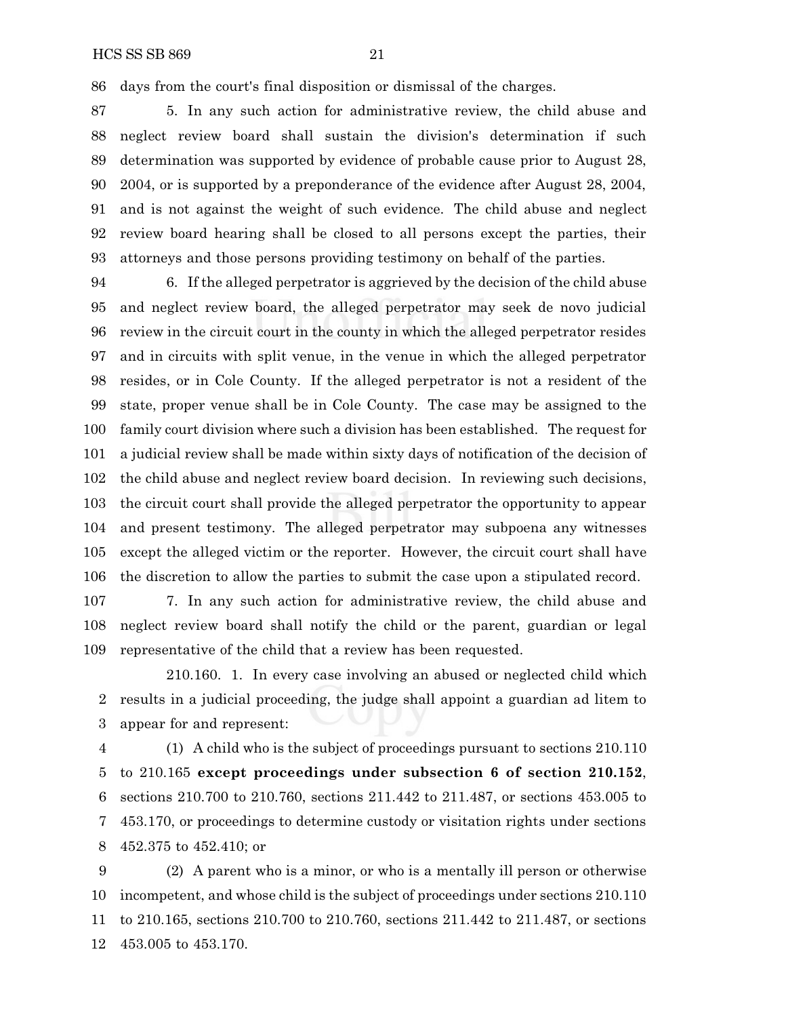days from the court's final disposition or dismissal of the charges.

 5. In any such action for administrative review, the child abuse and neglect review board shall sustain the division's determination if such determination was supported by evidence of probable cause prior to August 28, 2004, or is supported by a preponderance of the evidence after August 28, 2004, and is not against the weight of such evidence. The child abuse and neglect review board hearing shall be closed to all persons except the parties, their attorneys and those persons providing testimony on behalf of the parties.

 6. If the alleged perpetrator is aggrieved by the decision of the child abuse and neglect review board, the alleged perpetrator may seek de novo judicial review in the circuit court in the county in which the alleged perpetrator resides and in circuits with split venue, in the venue in which the alleged perpetrator resides, or in Cole County. If the alleged perpetrator is not a resident of the state, proper venue shall be in Cole County. The case may be assigned to the family court division where such a division has been established. The request for a judicial review shall be made within sixty days of notification of the decision of the child abuse and neglect review board decision. In reviewing such decisions, the circuit court shall provide the alleged perpetrator the opportunity to appear and present testimony. The alleged perpetrator may subpoena any witnesses except the alleged victim or the reporter. However, the circuit court shall have the discretion to allow the parties to submit the case upon a stipulated record.

 7. In any such action for administrative review, the child abuse and neglect review board shall notify the child or the parent, guardian or legal representative of the child that a review has been requested.

210.160. 1. In every case involving an abused or neglected child which results in a judicial proceeding, the judge shall appoint a guardian ad litem to appear for and represent:

 (1) A child who is the subject of proceedings pursuant to sections 210.110 to 210.165 **except proceedings under subsection 6 of section 210.152**, sections 210.700 to 210.760, sections 211.442 to 211.487, or sections 453.005 to 453.170, or proceedings to determine custody or visitation rights under sections 452.375 to 452.410; or

 (2) A parent who is a minor, or who is a mentally ill person or otherwise incompetent, and whose child is the subject of proceedings under sections 210.110 to 210.165, sections 210.700 to 210.760, sections 211.442 to 211.487, or sections 453.005 to 453.170.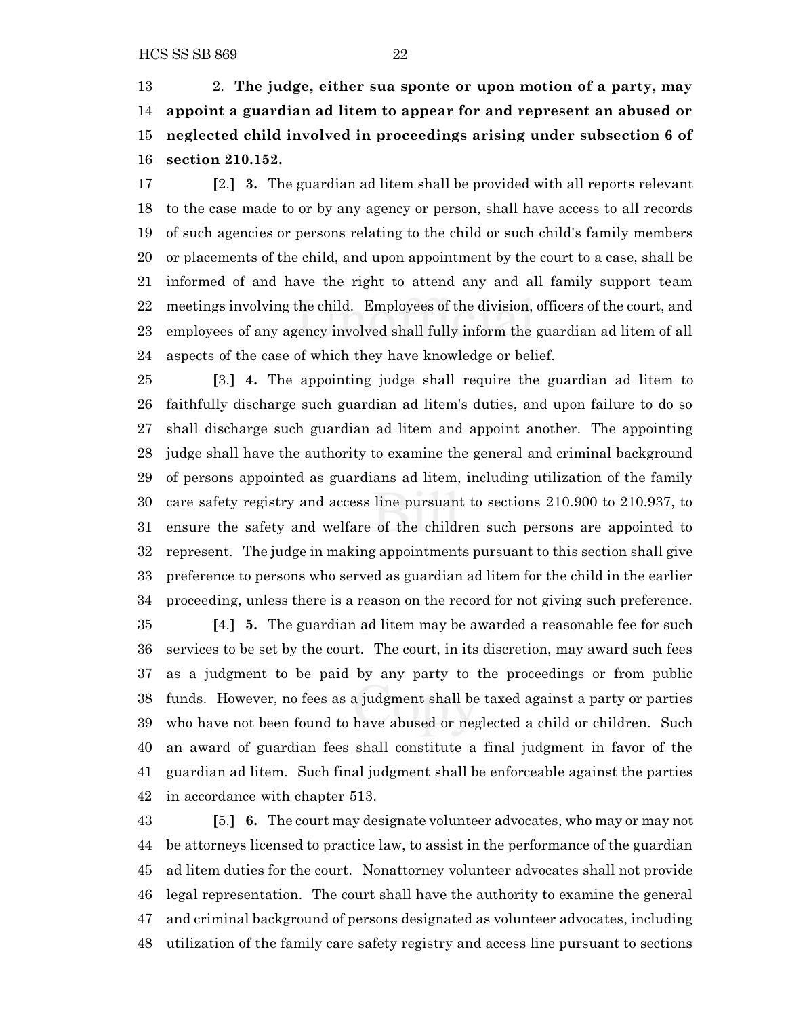2. **The judge, either sua sponte or upon motion of a party, may appoint a guardian ad litem to appear for and represent an abused or neglected child involved in proceedings arising under subsection 6 of section 210.152.**

 **[**2.**] 3.** The guardian ad litem shall be provided with all reports relevant to the case made to or by any agency or person, shall have access to all records of such agencies or persons relating to the child or such child's family members or placements of the child, and upon appointment by the court to a case, shall be informed of and have the right to attend any and all family support team meetings involving the child. Employees of the division, officers of the court, and employees of any agency involved shall fully inform the guardian ad litem of all aspects of the case of which they have knowledge or belief.

 **[**3.**] 4.** The appointing judge shall require the guardian ad litem to faithfully discharge such guardian ad litem's duties, and upon failure to do so shall discharge such guardian ad litem and appoint another. The appointing judge shall have the authority to examine the general and criminal background of persons appointed as guardians ad litem, including utilization of the family care safety registry and access line pursuant to sections 210.900 to 210.937, to ensure the safety and welfare of the children such persons are appointed to represent. The judge in making appointments pursuant to this section shall give preference to persons who served as guardian ad litem for the child in the earlier proceeding, unless there is a reason on the record for not giving such preference.

 **[**4.**] 5.** The guardian ad litem may be awarded a reasonable fee for such services to be set by the court. The court, in its discretion, may award such fees as a judgment to be paid by any party to the proceedings or from public funds. However, no fees as a judgment shall be taxed against a party or parties who have not been found to have abused or neglected a child or children. Such an award of guardian fees shall constitute a final judgment in favor of the guardian ad litem. Such final judgment shall be enforceable against the parties in accordance with chapter 513.

 **[**5.**] 6.** The court may designate volunteer advocates, who may or may not be attorneys licensed to practice law, to assist in the performance of the guardian ad litem duties for the court. Nonattorney volunteer advocates shall not provide legal representation. The court shall have the authority to examine the general and criminal background of persons designated as volunteer advocates, including utilization of the family care safety registry and access line pursuant to sections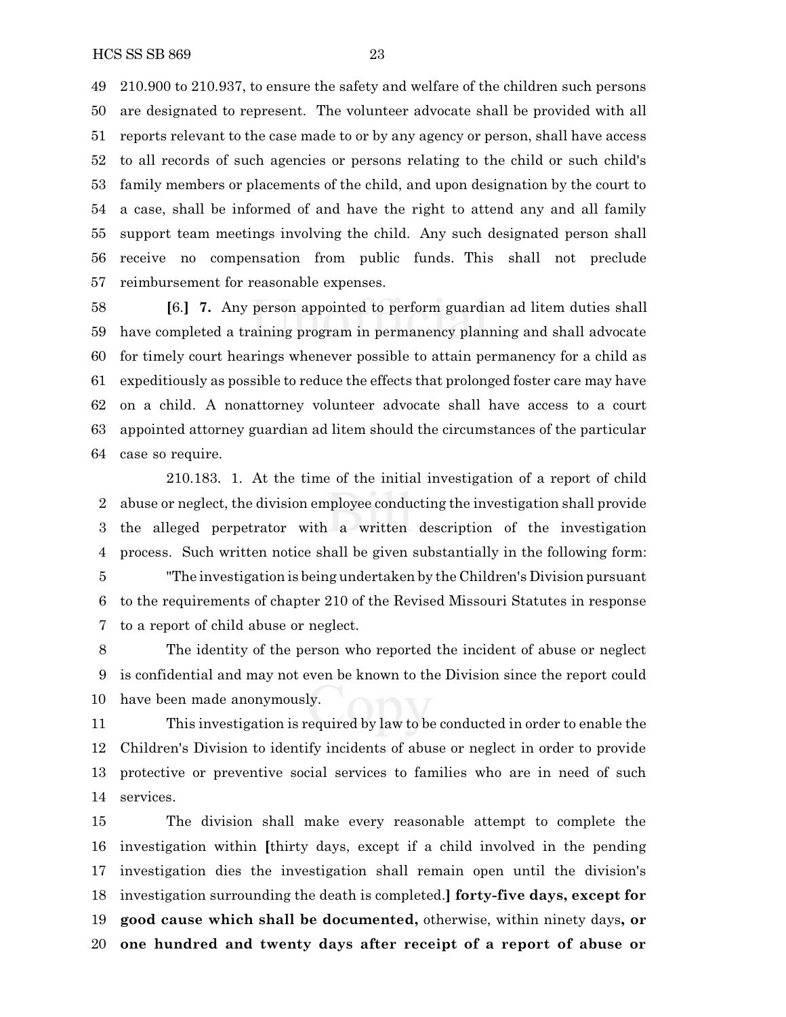210.900 to 210.937, to ensure the safety and welfare of the children such persons are designated to represent. The volunteer advocate shall be provided with all reports relevant to the case made to or by any agency or person, shall have access to all records of such agencies or persons relating to the child or such child's family members or placements of the child, and upon designation by the court to a case, shall be informed of and have the right to attend any and all family support team meetings involving the child. Any such designated person shall receive no compensation from public funds. This shall not preclude reimbursement for reasonable expenses.

 **[**6.**] 7.** Any person appointed to perform guardian ad litem duties shall have completed a training program in permanency planning and shall advocate for timely court hearings whenever possible to attain permanency for a child as expeditiously as possible to reduce the effects that prolonged foster care may have on a child. A nonattorney volunteer advocate shall have access to a court appointed attorney guardian ad litem should the circumstances of the particular case so require.

210.183. 1. At the time of the initial investigation of a report of child abuse or neglect, the division employee conducting the investigation shall provide the alleged perpetrator with a written description of the investigation process. Such written notice shall be given substantially in the following form: "The investigation is being undertaken by the Children's Division pursuant to the requirements of chapter 210 of the Revised Missouri Statutes in response to a report of child abuse or neglect.

 The identity of the person who reported the incident of abuse or neglect is confidential and may not even be known to the Division since the report could have been made anonymously.

 This investigation is required by law to be conducted in order to enable the Children's Division to identify incidents of abuse or neglect in order to provide protective or preventive social services to families who are in need of such services.

 The division shall make every reasonable attempt to complete the investigation within **[**thirty days, except if a child involved in the pending investigation dies the investigation shall remain open until the division's investigation surrounding the death is completed.**] forty-five days, except for good cause which shall be documented,** otherwise, within ninety days**, or one hundred and twenty days after receipt of a report of abuse or**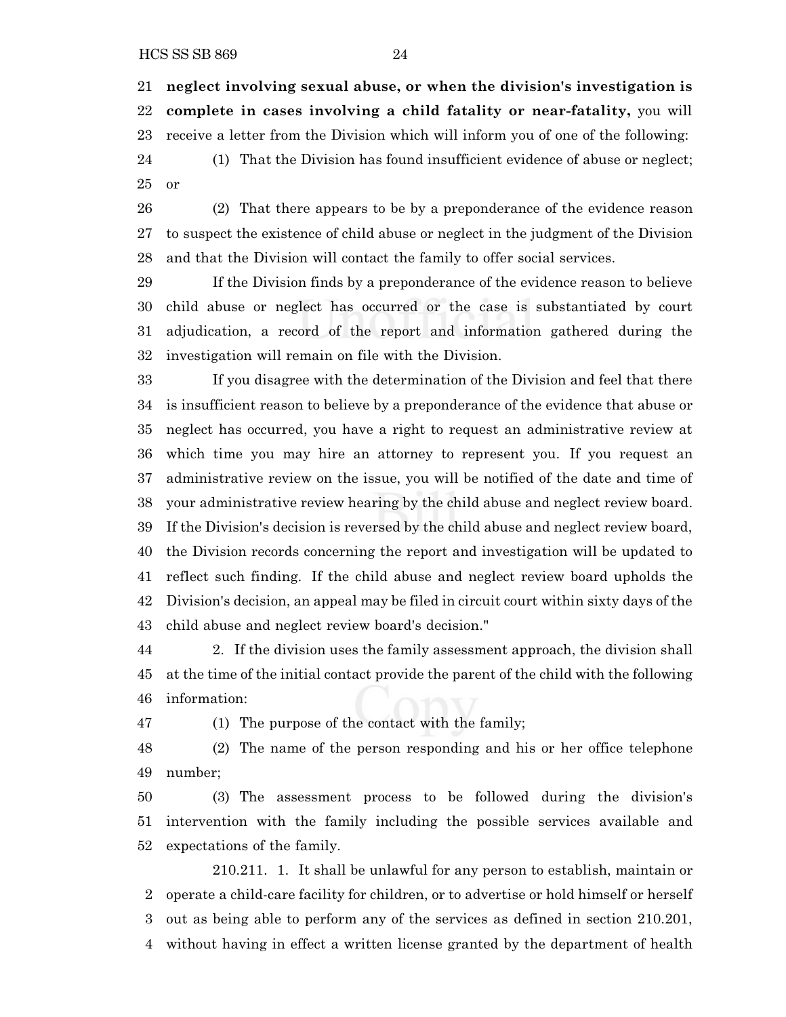**neglect involving sexual abuse, or when the division's investigation is complete in cases involving a child fatality or near-fatality,** you will receive a letter from the Division which will inform you of one of the following:

 (1) That the Division has found insufficient evidence of abuse or neglect; or

 (2) That there appears to be by a preponderance of the evidence reason to suspect the existence of child abuse or neglect in the judgment of the Division and that the Division will contact the family to offer social services.

 If the Division finds by a preponderance of the evidence reason to believe child abuse or neglect has occurred or the case is substantiated by court adjudication, a record of the report and information gathered during the investigation will remain on file with the Division.

 If you disagree with the determination of the Division and feel that there is insufficient reason to believe by a preponderance of the evidence that abuse or neglect has occurred, you have a right to request an administrative review at which time you may hire an attorney to represent you. If you request an administrative review on the issue, you will be notified of the date and time of your administrative review hearing by the child abuse and neglect review board. If the Division's decision is reversed by the child abuse and neglect review board, the Division records concerning the report and investigation will be updated to reflect such finding. If the child abuse and neglect review board upholds the Division's decision, an appeal may be filed in circuit court within sixty days of the child abuse and neglect review board's decision."

 2. If the division uses the family assessment approach, the division shall at the time of the initial contact provide the parent of the child with the following information:

(1) The purpose of the contact with the family;

 (2) The name of the person responding and his or her office telephone number;

 (3) The assessment process to be followed during the division's intervention with the family including the possible services available and expectations of the family.

210.211. 1. It shall be unlawful for any person to establish, maintain or operate a child-care facility for children, or to advertise or hold himself or herself out as being able to perform any of the services as defined in section 210.201, without having in effect a written license granted by the department of health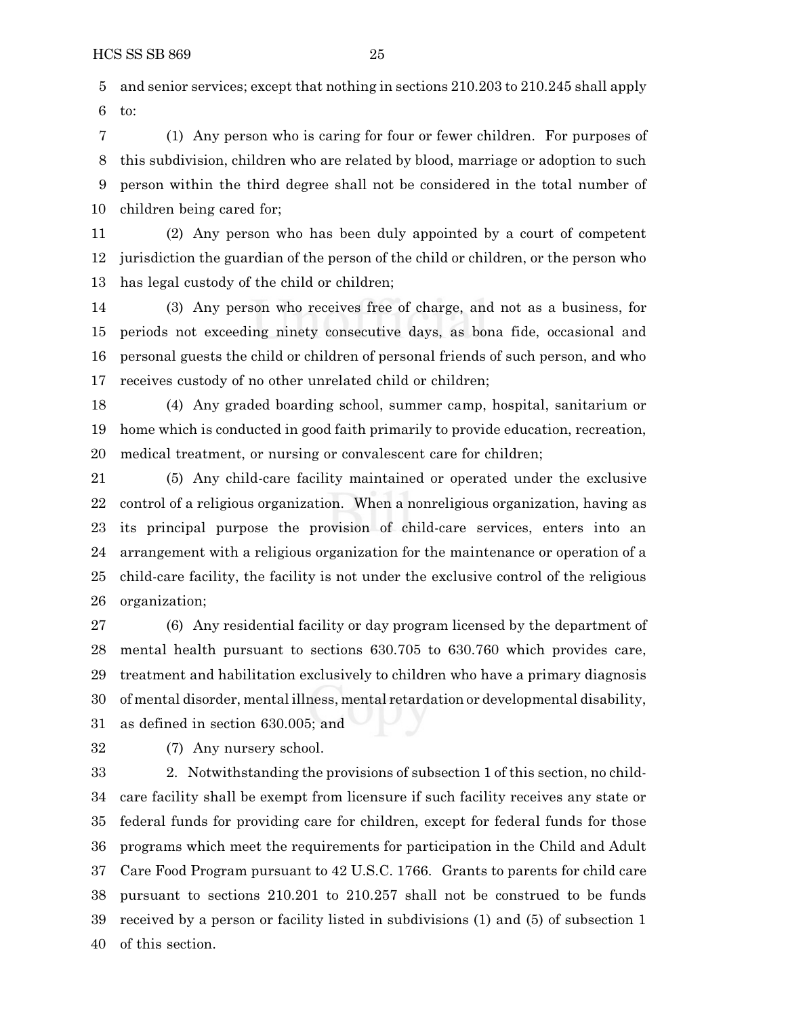and senior services; except that nothing in sections 210.203 to 210.245 shall apply to:

 (1) Any person who is caring for four or fewer children. For purposes of this subdivision, children who are related by blood, marriage or adoption to such person within the third degree shall not be considered in the total number of children being cared for;

 (2) Any person who has been duly appointed by a court of competent jurisdiction the guardian of the person of the child or children, or the person who has legal custody of the child or children;

 (3) Any person who receives free of charge, and not as a business, for periods not exceeding ninety consecutive days, as bona fide, occasional and personal guests the child or children of personal friends of such person, and who receives custody of no other unrelated child or children;

 (4) Any graded boarding school, summer camp, hospital, sanitarium or home which is conducted in good faith primarily to provide education, recreation, medical treatment, or nursing or convalescent care for children;

 (5) Any child-care facility maintained or operated under the exclusive control of a religious organization. When a nonreligious organization, having as its principal purpose the provision of child-care services, enters into an arrangement with a religious organization for the maintenance or operation of a child-care facility, the facility is not under the exclusive control of the religious organization;

 (6) Any residential facility or day program licensed by the department of mental health pursuant to sections 630.705 to 630.760 which provides care, treatment and habilitation exclusively to children who have a primary diagnosis of mental disorder, mental illness, mental retardation or developmental disability, as defined in section 630.005; and

(7) Any nursery school.

 2. Notwithstanding the provisions of subsection 1 of this section, no child- care facility shall be exempt from licensure if such facility receives any state or federal funds for providing care for children, except for federal funds for those programs which meet the requirements for participation in the Child and Adult Care Food Program pursuant to 42 U.S.C. 1766. Grants to parents for child care pursuant to sections 210.201 to 210.257 shall not be construed to be funds received by a person or facility listed in subdivisions (1) and (5) of subsection 1 of this section.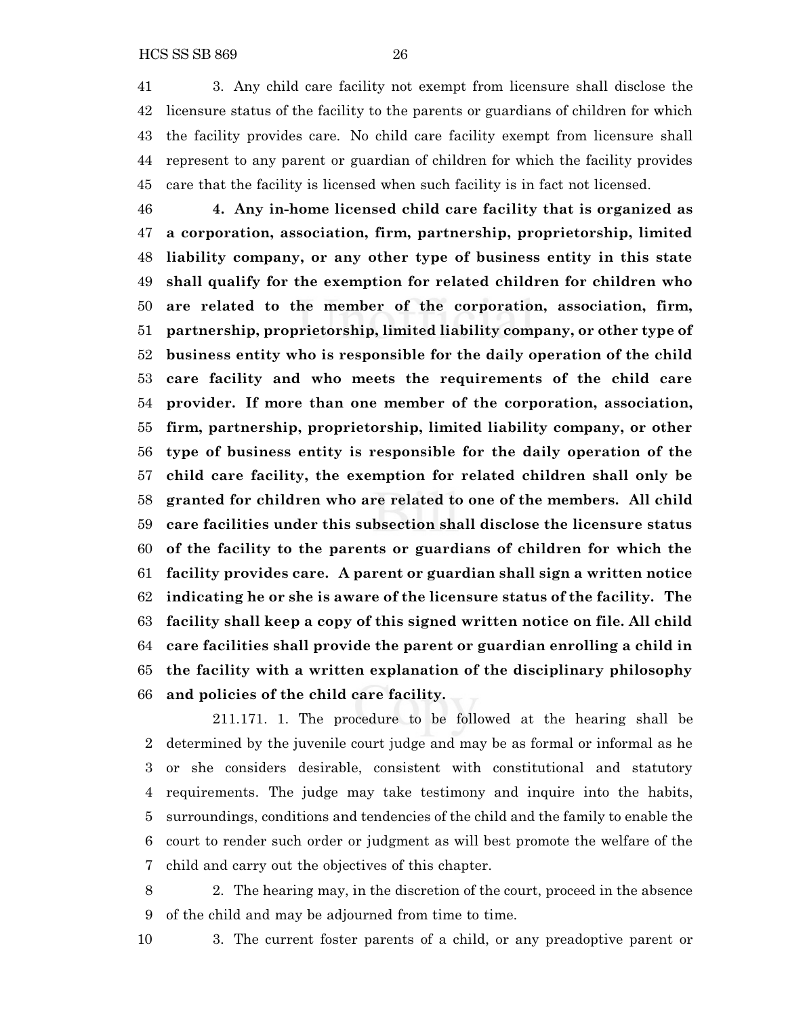3. Any child care facility not exempt from licensure shall disclose the licensure status of the facility to the parents or guardians of children for which the facility provides care. No child care facility exempt from licensure shall represent to any parent or guardian of children for which the facility provides care that the facility is licensed when such facility is in fact not licensed.

 **4. Any in-home licensed child care facility that is organized as a corporation, association, firm, partnership, proprietorship, limited liability company, or any other type of business entity in this state shall qualify for the exemption for related children for children who are related to the member of the corporation, association, firm, partnership, proprietorship, limited liability company, or other type of business entity who is responsible for the daily operation of the child care facility and who meets the requirements of the child care provider. If more than one member of the corporation, association, firm, partnership, proprietorship, limited liability company, or other type of business entity is responsible for the daily operation of the child care facility, the exemption for related children shall only be granted for children who are related to one of the members. All child care facilities under this subsection shall disclose the licensure status of the facility to the parents or guardians of children for which the facility provides care. A parent or guardian shall sign a written notice indicating he or she is aware of the licensure status of the facility. The facility shall keep a copy of this signed written notice on file. All child care facilities shall provide the parent or guardian enrolling a child in the facility with a written explanation of the disciplinary philosophy and policies of the child care facility.**

211.171. 1. The procedure to be followed at the hearing shall be determined by the juvenile court judge and may be as formal or informal as he or she considers desirable, consistent with constitutional and statutory requirements. The judge may take testimony and inquire into the habits, surroundings, conditions and tendencies of the child and the family to enable the court to render such order or judgment as will best promote the welfare of the child and carry out the objectives of this chapter.

 2. The hearing may, in the discretion of the court, proceed in the absence of the child and may be adjourned from time to time.

3. The current foster parents of a child, or any preadoptive parent or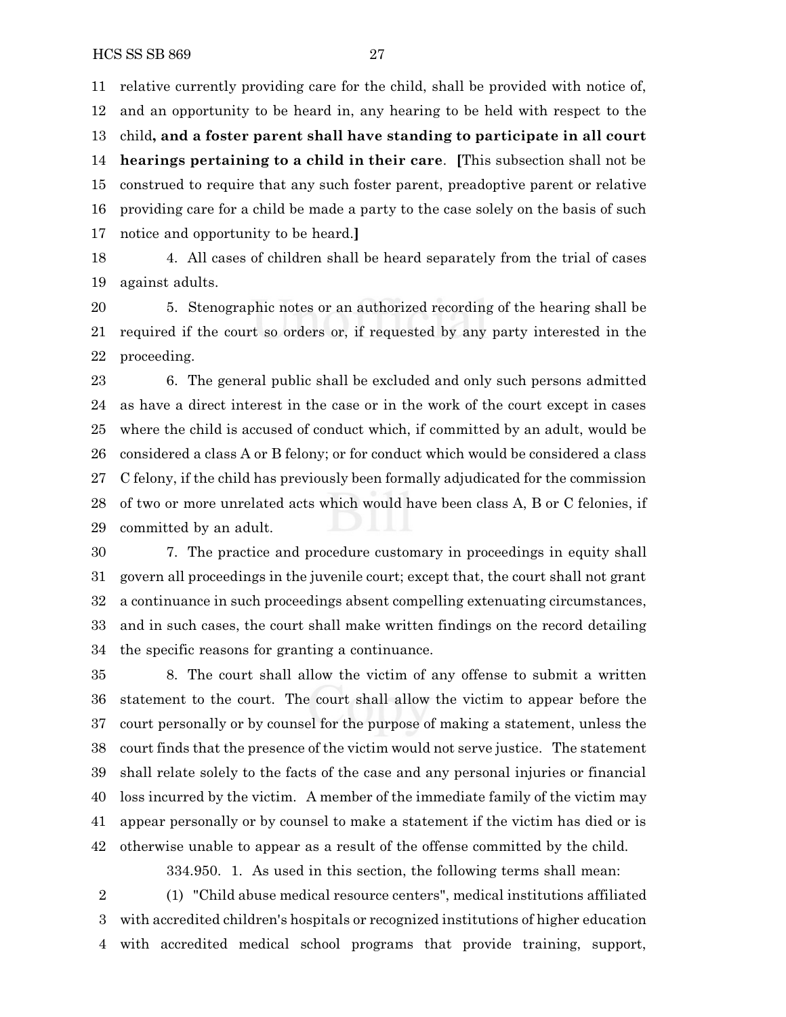relative currently providing care for the child, shall be provided with notice of, and an opportunity to be heard in, any hearing to be held with respect to the child**, and a foster parent shall have standing to participate in all court hearings pertaining to a child in their care**. **[**This subsection shall not be construed to require that any such foster parent, preadoptive parent or relative providing care for a child be made a party to the case solely on the basis of such notice and opportunity to be heard.**]**

 4. All cases of children shall be heard separately from the trial of cases against adults.

 5. Stenographic notes or an authorized recording of the hearing shall be required if the court so orders or, if requested by any party interested in the proceeding.

 6. The general public shall be excluded and only such persons admitted as have a direct interest in the case or in the work of the court except in cases where the child is accused of conduct which, if committed by an adult, would be considered a class A or B felony; or for conduct which would be considered a class C felony, if the child has previously been formally adjudicated for the commission of two or more unrelated acts which would have been class A, B or C felonies, if committed by an adult.

 7. The practice and procedure customary in proceedings in equity shall govern all proceedings in the juvenile court; except that, the court shall not grant a continuance in such proceedings absent compelling extenuating circumstances, and in such cases, the court shall make written findings on the record detailing the specific reasons for granting a continuance.

 8. The court shall allow the victim of any offense to submit a written statement to the court. The court shall allow the victim to appear before the court personally or by counsel for the purpose of making a statement, unless the court finds that the presence of the victim would not serve justice. The statement shall relate solely to the facts of the case and any personal injuries or financial loss incurred by the victim. A member of the immediate family of the victim may appear personally or by counsel to make a statement if the victim has died or is otherwise unable to appear as a result of the offense committed by the child.

334.950. 1. As used in this section, the following terms shall mean:

 (1) "Child abuse medical resource centers", medical institutions affiliated with accredited children's hospitals or recognized institutions of higher education with accredited medical school programs that provide training, support,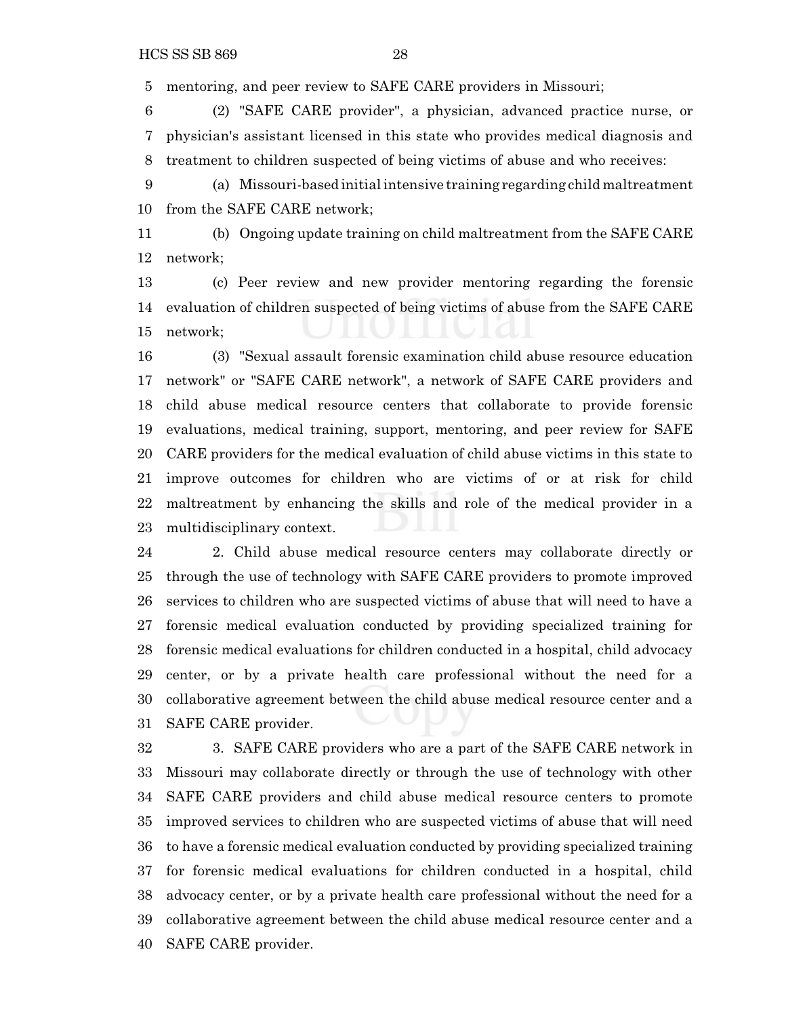mentoring, and peer review to SAFE CARE providers in Missouri;

 (2) "SAFE CARE provider", a physician, advanced practice nurse, or physician's assistant licensed in this state who provides medical diagnosis and treatment to children suspected of being victims of abuse and who receives:

 (a) Missouri-based initial intensive training regarding child maltreatment from the SAFE CARE network;

 (b) Ongoing update training on child maltreatment from the SAFE CARE network;

 (c) Peer review and new provider mentoring regarding the forensic evaluation of children suspected of being victims of abuse from the SAFE CARE network;

 (3) "Sexual assault forensic examination child abuse resource education network" or "SAFE CARE network", a network of SAFE CARE providers and child abuse medical resource centers that collaborate to provide forensic evaluations, medical training, support, mentoring, and peer review for SAFE CARE providers for the medical evaluation of child abuse victims in this state to improve outcomes for children who are victims of or at risk for child maltreatment by enhancing the skills and role of the medical provider in a multidisciplinary context.

 2. Child abuse medical resource centers may collaborate directly or through the use of technology with SAFE CARE providers to promote improved services to children who are suspected victims of abuse that will need to have a forensic medical evaluation conducted by providing specialized training for forensic medical evaluations for children conducted in a hospital, child advocacy center, or by a private health care professional without the need for a collaborative agreement between the child abuse medical resource center and a SAFE CARE provider.

 3. SAFE CARE providers who are a part of the SAFE CARE network in Missouri may collaborate directly or through the use of technology with other SAFE CARE providers and child abuse medical resource centers to promote improved services to children who are suspected victims of abuse that will need to have a forensic medical evaluation conducted by providing specialized training for forensic medical evaluations for children conducted in a hospital, child advocacy center, or by a private health care professional without the need for a collaborative agreement between the child abuse medical resource center and a SAFE CARE provider.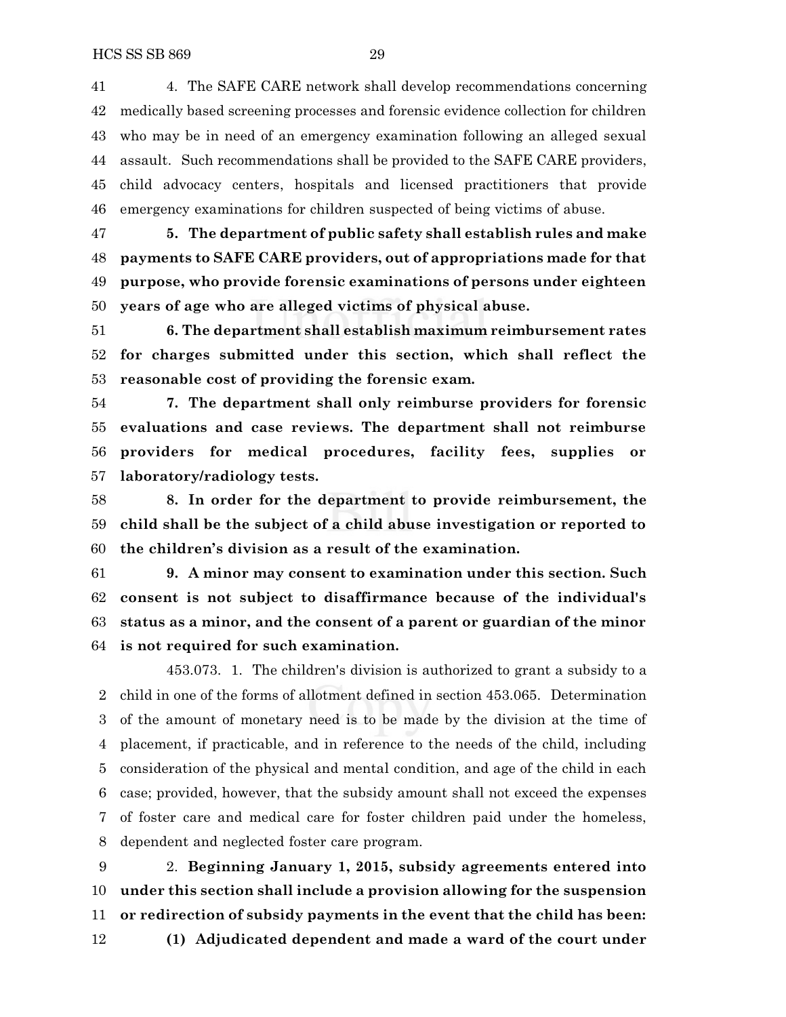4. The SAFE CARE network shall develop recommendations concerning medically based screening processes and forensic evidence collection for children who may be in need of an emergency examination following an alleged sexual assault. Such recommendations shall be provided to the SAFE CARE providers, child advocacy centers, hospitals and licensed practitioners that provide emergency examinations for children suspected of being victims of abuse.

 **5. The department of public safety shall establish rules and make payments to SAFE CARE providers, out of appropriations made for that purpose, who provide forensic examinations of persons under eighteen years of age who are alleged victims of physical abuse.**

 **6. The department shall establish maximum reimbursement rates for charges submitted under this section, which shall reflect the reasonable cost of providing the forensic exam.**

 **7. The department shall only reimburse providers for forensic evaluations and case reviews. The department shall not reimburse providers for medical procedures, facility fees, supplies or laboratory/radiology tests.**

 **8. In order for the department to provide reimbursement, the child shall be the subject of a child abuse investigation or reported to the children's division as a result of the examination.**

 **9. A minor may consent to examination under this section. Such consent is not subject to disaffirmance because of the individual's status as a minor, and the consent of a parent or guardian of the minor is not required for such examination.**

453.073. 1. The children's division is authorized to grant a subsidy to a child in one of the forms of allotment defined in section 453.065. Determination of the amount of monetary need is to be made by the division at the time of placement, if practicable, and in reference to the needs of the child, including consideration of the physical and mental condition, and age of the child in each case; provided, however, that the subsidy amount shall not exceed the expenses of foster care and medical care for foster children paid under the homeless, dependent and neglected foster care program.

 2. **Beginning January 1, 2015, subsidy agreements entered into under this section shall include a provision allowing for the suspension or redirection of subsidy payments in the event that the child has been: (1) Adjudicated dependent and made a ward of the court under**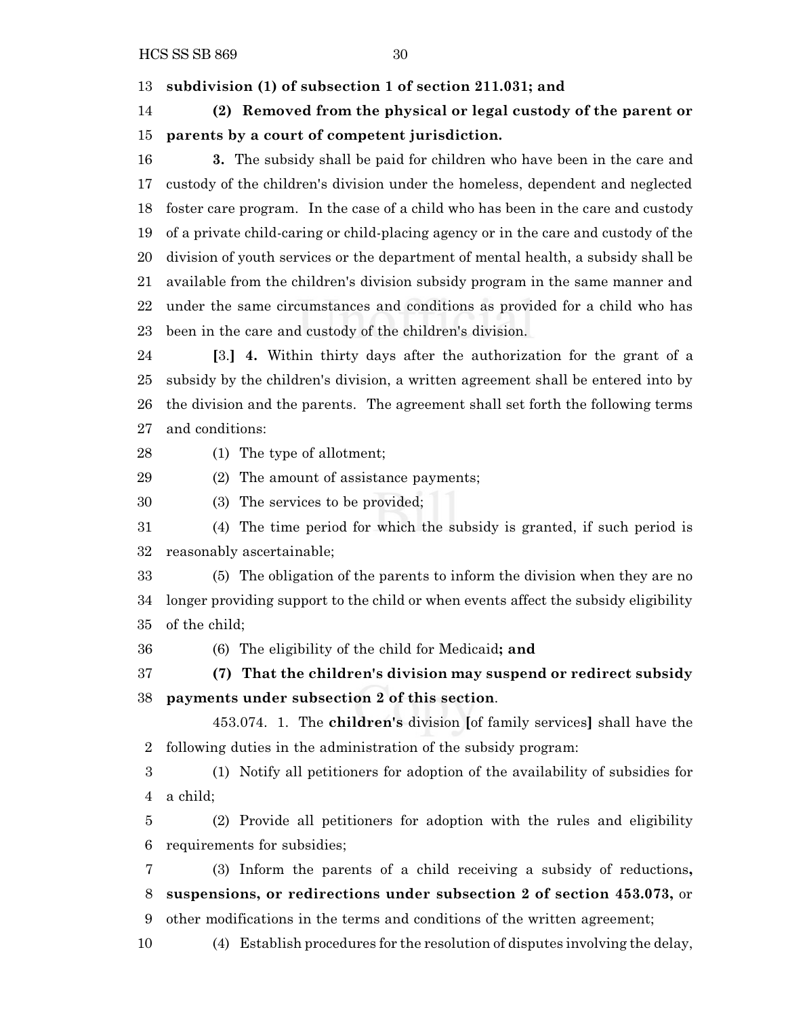HCS SS SB 869 30

**subdivision (1) of subsection 1 of section 211.031; and**

 **(2) Removed from the physical or legal custody of the parent or parents by a court of competent jurisdiction.**

 **3.** The subsidy shall be paid for children who have been in the care and custody of the children's division under the homeless, dependent and neglected foster care program. In the case of a child who has been in the care and custody of a private child-caring or child-placing agency or in the care and custody of the division of youth services or the department of mental health, a subsidy shall be available from the children's division subsidy program in the same manner and under the same circumstances and conditions as provided for a child who has been in the care and custody of the children's division.

 **[**3.**] 4.** Within thirty days after the authorization for the grant of a subsidy by the children's division, a written agreement shall be entered into by the division and the parents. The agreement shall set forth the following terms and conditions:

(1) The type of allotment;

(2) The amount of assistance payments;

(3) The services to be provided;

 (4) The time period for which the subsidy is granted, if such period is reasonably ascertainable;

 (5) The obligation of the parents to inform the division when they are no longer providing support to the child or when events affect the subsidy eligibility of the child;

(6) The eligibility of the child for Medicaid**; and**

 **(7) That the children's division may suspend or redirect subsidy payments under subsection 2 of this section**.

453.074. 1. The **children's** division **[**of family services**]** shall have the following duties in the administration of the subsidy program:

 (1) Notify all petitioners for adoption of the availability of subsidies for a child;

 (2) Provide all petitioners for adoption with the rules and eligibility requirements for subsidies;

 (3) Inform the parents of a child receiving a subsidy of reductions**, suspensions, or redirections under subsection 2 of section 453.073,** or other modifications in the terms and conditions of the written agreement;

(4) Establish procedures for the resolution of disputes involving the delay,